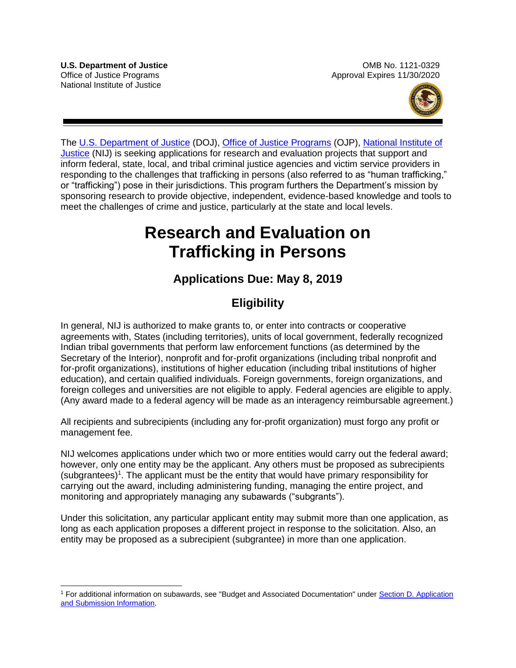

The [U.S. Department of Justice](https://www.usdoj.gov/) (DOJ), [Office of Justice Programs](https://www.ojp.usdoj.gov/) (OJP), National Institute of [Justice](http://nij.gov/Pages/welcome.aspx) (NIJ) is seeking applications for research and evaluation projects that support and inform federal, state, local, and tribal criminal justice agencies and victim service providers in responding to the challenges that trafficking in persons (also referred to as "human trafficking," or "trafficking") pose in their jurisdictions. This program furthers the Department's mission by sponsoring research to provide objective, independent, evidence-based knowledge and tools to meet the challenges of crime and justice, particularly at the state and local levels.

# **Research and Evaluation on Trafficking in Persons**

# **Applications Due: May 8, 2019**

# **Eligibility**

In general, NIJ is authorized to make grants to, or enter into contracts or cooperative agreements with, States (including territories), units of local government, federally recognized Indian tribal governments that perform law enforcement functions (as determined by the Secretary of the Interior), nonprofit and for-profit organizations (including tribal nonprofit and for-profit organizations), institutions of higher education (including tribal institutions of higher education), and certain qualified individuals. Foreign governments, foreign organizations, and foreign colleges and universities are not eligible to apply. Federal agencies are eligible to apply. (Any award made to a federal agency will be made as an interagency reimbursable agreement.)

All recipients and subrecipients (including any for-profit organization) must forgo any profit or management fee.

NIJ welcomes applications under which two or more entities would carry out the federal award; however, only one entity may be the applicant. Any others must be proposed as subrecipients  $(subgrantees)^1$ . The applicant must be the entity that would have primary responsibility for carrying out the award, including administering funding, managing the entire project, and monitoring and appropriately managing any subawards ("subgrants").

Under this solicitation, any particular applicant entity may submit more than one application, as long as each application proposes a different project in response to the solicitation. Also, an entity may be proposed as a subrecipient (subgrantee) in more than one application.

 $\overline{a}$ <sup>1</sup> For additional information on subawards, see "Budget and Associated Documentation" under Section D. Application [and Submission Information.](#page-14-0)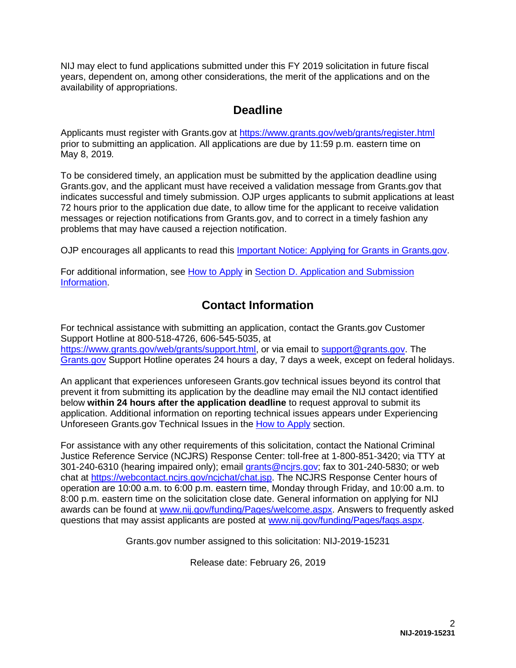NIJ may elect to fund applications submitted under this FY 2019 solicitation in future fiscal years, dependent on, among other considerations, the merit of the applications and on the availability of appropriations.

# **Deadline**

Applicants must register with Grants.gov at<https://www.grants.gov/web/grants/register.html> prior to submitting an application. All applications are due by 11:59 p.m. eastern time on May 8, 2019*.*

To be considered timely, an application must be submitted by the application deadline using Grants.gov, and the applicant must have received a validation message from Grants.gov that indicates successful and timely submission. OJP urges applicants to submit applications at least 72 hours prior to the application due date, to allow time for the applicant to receive validation messages or rejection notifications from Grants.gov, and to correct in a timely fashion any problems that may have caused a rejection notification.

OJP encourages all applicants to read this [Important Notice: Applying for Grants in Grants.gov.](https://ojp.gov/funding/Apply/Grants-govInfo.htm)

For additional information, see [How to Apply](#page-28-0) in [Section D. Application and Submission](#page-14-0)  [Information.](#page-14-0)

# **Contact Information**

For technical assistance with submitting an application, contact the Grants.gov Customer Support Hotline at 800-518-4726, 606-545-5035, at [https://www.grants.gov/web/grants/support.html,](https://www.grants.gov/web/grants/support.html) or via email to [support@grants.gov.](mailto:support@grants.gov) The [Grants.gov](https://www.grants.gov/web/grants/support.html) Support Hotline operates 24 hours a day, 7 days a week, except on federal holidays.

An applicant that experiences unforeseen Grants.gov technical issues beyond its control that prevent it from submitting its application by the deadline may email the NIJ contact identified below **within 24 hours after the application deadline** to request approval to submit its application. Additional information on reporting technical issues appears under Experiencing Unforeseen Grants.gov Technical Issues in the [How to Apply](#page-28-0) section.

For assistance with any other requirements of this solicitation, contact the National Criminal Justice Reference Service (NCJRS) Response Center: toll-free at 1-800-851-3420; via TTY at 301-240-6310 (hearing impaired only); email [grants@ncjrs.gov;](mailto:grants@ncjrs.gov) fax to 301-240-5830; or web chat at [https://webcontact.ncjrs.gov/ncjchat/chat.jsp.](https://webcontact.ncjrs.gov/ncjchat/chat.jsp) The NCJRS Response Center hours of operation are 10:00 a.m. to 6:00 p.m. eastern time, Monday through Friday, and 10:00 a.m. to 8:00 p.m. eastern time on the solicitation close date. General information on applying for NIJ awards can be found at [www.nij.gov/funding/Pages/welcome.aspx.](http://www.nij.gov/funding/Pages/welcome.aspx) Answers to frequently asked questions that may assist applicants are posted at [www.nij.gov/funding/Pages/faqs.aspx.](http://www.nij.gov/funding/Pages/faqs.aspx)

Grants.gov number assigned to this solicitation: NIJ-2019-15231

Release date: February 26, 2019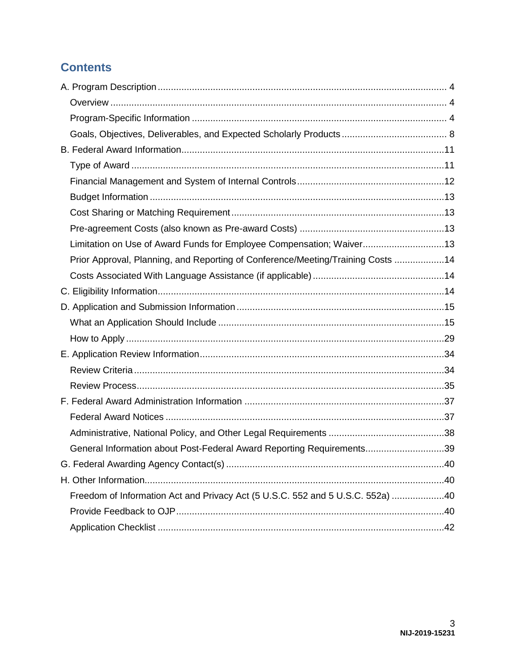# **Contents**

| Limitation on Use of Award Funds for Employee Compensation; Waiver13            |  |
|---------------------------------------------------------------------------------|--|
| Prior Approval, Planning, and Reporting of Conference/Meeting/Training Costs 14 |  |
|                                                                                 |  |
|                                                                                 |  |
|                                                                                 |  |
|                                                                                 |  |
|                                                                                 |  |
|                                                                                 |  |
|                                                                                 |  |
|                                                                                 |  |
|                                                                                 |  |
|                                                                                 |  |
|                                                                                 |  |
| General Information about Post-Federal Award Reporting Requirements39           |  |
|                                                                                 |  |
|                                                                                 |  |
| Freedom of Information Act and Privacy Act (5 U.S.C. 552 and 5 U.S.C. 552a) 40  |  |
|                                                                                 |  |
|                                                                                 |  |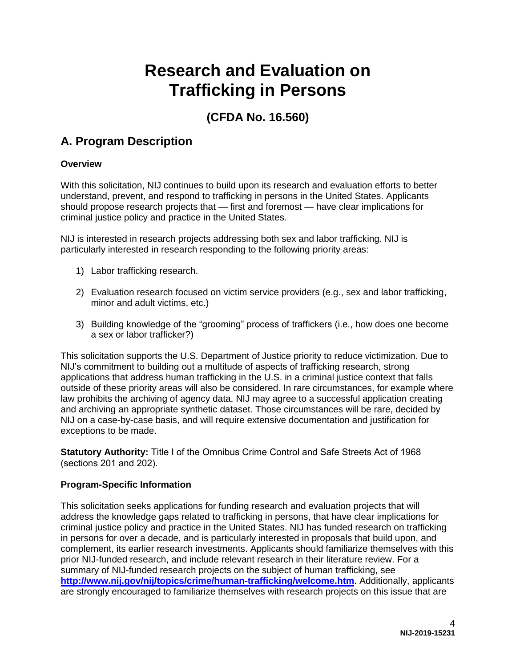# **Research and Evaluation on Trafficking in Persons**

# **(CFDA No. 16.560)**

# <span id="page-3-0"></span>**A. Program Description**

# <span id="page-3-1"></span>**Overview**

With this solicitation, NIJ continues to build upon its research and evaluation efforts to better understand, prevent, and respond to trafficking in persons in the United States. Applicants should propose research projects that — first and foremost — have clear implications for criminal justice policy and practice in the United States.

NIJ is interested in research projects addressing both sex and labor trafficking. NIJ is particularly interested in research responding to the following priority areas:

- 1) Labor trafficking research.
- 2) Evaluation research focused on victim service providers (e.g., sex and labor trafficking, minor and adult victims, etc.)
- 3) Building knowledge of the "grooming" process of traffickers (i.e., how does one become a sex or labor trafficker?)

This solicitation supports the U.S. Department of Justice priority to reduce victimization. Due to NIJ's commitment to building out a multitude of aspects of trafficking research, strong applications that address human trafficking in the U.S. in a criminal justice context that falls outside of these priority areas will also be considered. In rare circumstances, for example where law prohibits the archiving of agency data, NIJ may agree to a successful application creating and archiving an appropriate synthetic dataset. Those circumstances will be rare, decided by NIJ on a case-by-case basis, and will require extensive documentation and justification for exceptions to be made.

**Statutory Authority:** Title I of the Omnibus Crime Control and Safe Streets Act of 1968 (sections 201 and 202).

# <span id="page-3-2"></span>**Program-Specific Information**

This solicitation seeks applications for funding research and evaluation projects that will address the knowledge gaps related to trafficking in persons, that have clear implications for criminal justice policy and practice in the United States. NIJ has funded research on trafficking in persons for over a decade, and is particularly interested in proposals that build upon, and complement, its earlier research investments. Applicants should familiarize themselves with this prior NIJ-funded research, and include relevant research in their literature review. For a [summary of NIJ-funded research projects on the subject of human traffic](http://www.nij.gov/nij/topics/crime/human-trafficking/welcome.htm)king, see **http://www.nij.gov/nij/topics/crime/human-trafficking/welcome.htm**. Additionally, applicants are strongly encouraged to familiarize themselves with research projects on this issue that are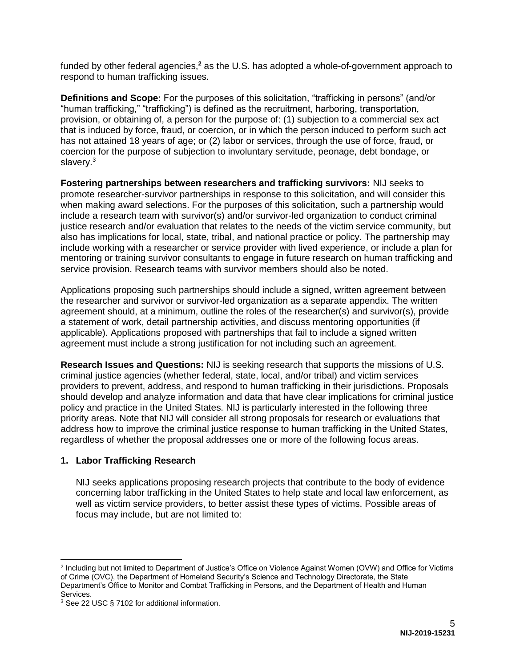funded by other federal agencies,<sup>2</sup> as the U.S. has adopted a whole-of-government approach to respond to human trafficking issues.

**Definitions and Scope:** For the purposes of this solicitation, "trafficking in persons" (and/or "human trafficking," "trafficking") is defined as the recruitment, harboring, transportation, provision, or obtaining of, a person for the purpose of: (1) subjection to a commercial sex act that is induced by force, fraud, or coercion, or in which the person induced to perform such act has not attained 18 years of age; or (2) labor or services, through the use of force, fraud, or coercion for the purpose of subjection to involuntary servitude, peonage, debt bondage, or slavery.<sup>3</sup>

**Fostering partnerships between researchers and trafficking survivors:** NIJ seeks to promote researcher-survivor partnerships in response to this solicitation, and will consider this when making award selections. For the purposes of this solicitation, such a partnership would include a research team with survivor(s) and/or survivor-led organization to conduct criminal justice research and/or evaluation that relates to the needs of the victim service community, but also has implications for local, state, tribal, and national practice or policy. The partnership may include working with a researcher or service provider with lived experience, or include a plan for mentoring or training survivor consultants to engage in future research on human trafficking and service provision. Research teams with survivor members should also be noted.

Applications proposing such partnerships should include a signed, written agreement between the researcher and survivor or survivor-led organization as a separate appendix. The written agreement should, at a minimum, outline the roles of the researcher(s) and survivor(s), provide a statement of work, detail partnership activities, and discuss mentoring opportunities (if applicable). Applications proposed with partnerships that fail to include a signed written agreement must include a strong justification for not including such an agreement.

**Research Issues and Questions:** NIJ is seeking research that supports the missions of U.S. criminal justice agencies (whether federal, state, local, and/or tribal) and victim services providers to prevent, address, and respond to human trafficking in their jurisdictions. Proposals should develop and analyze information and data that have clear implications for criminal justice policy and practice in the United States. NIJ is particularly interested in the following three priority areas. Note that NIJ will consider all strong proposals for research or evaluations that address how to improve the criminal justice response to human trafficking in the United States, regardless of whether the proposal addresses one or more of the following focus areas.

# **1. Labor Trafficking Research**

NIJ seeks applications proposing research projects that contribute to the body of evidence concerning labor trafficking in the United States to help state and local law enforcement, as well as victim service providers, to better assist these types of victims. Possible areas of focus may include, but are not limited to:

<sup>&</sup>lt;sup>2</sup> Including but not limited to Department of Justice's Office on Violence Against Women (OVW) and Office for Victims of Crime (OVC), the Department of Homeland Security's Science and Technology Directorate, the State Department's Office to Monitor and Combat Trafficking in Persons, and the Department of Health and Human Services.

<sup>3</sup> See 22 USC § 7102 for additional information.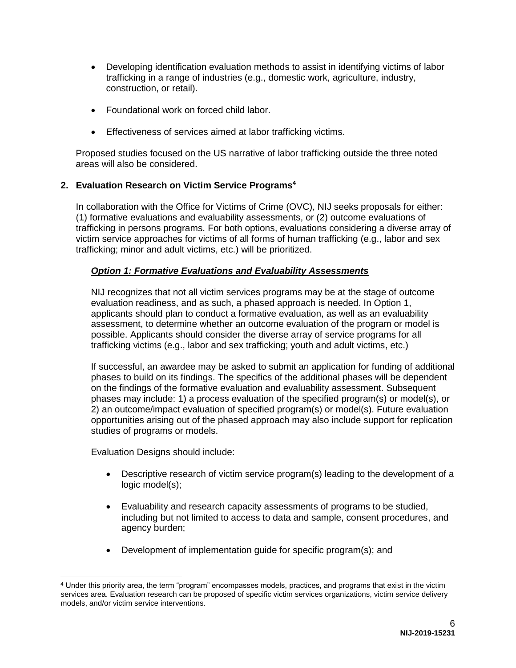- Developing identification evaluation methods to assist in identifying victims of labor trafficking in a range of industries (e.g., domestic work, agriculture, industry, construction, or retail).
- Foundational work on forced child labor.
- Effectiveness of services aimed at labor trafficking victims.

Proposed studies focused on the US narrative of labor trafficking outside the three noted areas will also be considered.

### **2. Evaluation Research on Victim Service Programs<sup>4</sup>**

In collaboration with the Office for Victims of Crime (OVC), NIJ seeks proposals for either: (1) formative evaluations and evaluability assessments, or (2) outcome evaluations of trafficking in persons programs. For both options, evaluations considering a diverse array of victim service approaches for victims of all forms of human trafficking (e.g., labor and sex trafficking; minor and adult victims, etc.) will be prioritized.

### *Option 1: Formative Evaluations and Evaluability Assessments*

NIJ recognizes that not all victim services programs may be at the stage of outcome evaluation readiness, and as such, a phased approach is needed. In Option 1, applicants should plan to conduct a formative evaluation, as well as an evaluability assessment, to determine whether an outcome evaluation of the program or model is possible. Applicants should consider the diverse array of service programs for all trafficking victims (e.g., labor and sex trafficking; youth and adult victims, etc.)

If successful, an awardee may be asked to submit an application for funding of additional phases to build on its findings. The specifics of the additional phases will be dependent on the findings of the formative evaluation and evaluability assessment. Subsequent phases may include: 1) a process evaluation of the specified program(s) or model(s), or 2) an outcome/impact evaluation of specified program(s) or model(s). Future evaluation opportunities arising out of the phased approach may also include support for replication studies of programs or models.

Evaluation Designs should include:

- Descriptive research of victim service program(s) leading to the development of a logic model(s);
- Evaluability and research capacity assessments of programs to be studied, including but not limited to access to data and sample, consent procedures, and agency burden;
- Development of implementation guide for specific program(s); and

<sup>4</sup> Under this priority area, the term "program" encompasses models, practices, and programs that exist in the victim services area. Evaluation research can be proposed of specific victim services organizations, victim service delivery models, and/or victim service interventions.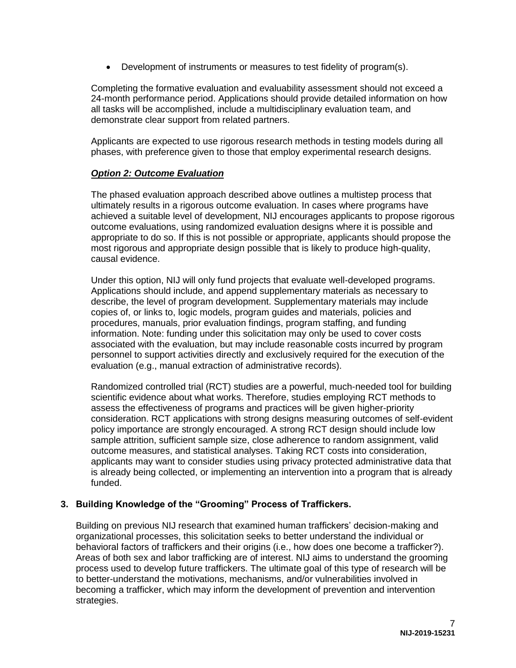Development of instruments or measures to test fidelity of program(s).

Completing the formative evaluation and evaluability assessment should not exceed a 24-month performance period. Applications should provide detailed information on how all tasks will be accomplished, include a multidisciplinary evaluation team, and demonstrate clear support from related partners.

Applicants are expected to use rigorous research methods in testing models during all phases, with preference given to those that employ experimental research designs.

### *Option 2: Outcome Evaluation*

The phased evaluation approach described above outlines a multistep process that ultimately results in a rigorous outcome evaluation. In cases where programs have achieved a suitable level of development, NIJ encourages applicants to propose rigorous outcome evaluations, using randomized evaluation designs where it is possible and appropriate to do so. If this is not possible or appropriate, applicants should propose the most rigorous and appropriate design possible that is likely to produce high-quality, causal evidence.

Under this option, NIJ will only fund projects that evaluate well-developed programs. Applications should include, and append supplementary materials as necessary to describe, the level of program development. Supplementary materials may include copies of, or links to, logic models, program guides and materials, policies and procedures, manuals, prior evaluation findings, program staffing, and funding information. Note: funding under this solicitation may only be used to cover costs associated with the evaluation, but may include reasonable costs incurred by program personnel to support activities directly and exclusively required for the execution of the evaluation (e.g., manual extraction of administrative records).

Randomized controlled trial (RCT) studies are a powerful, much-needed tool for building scientific evidence about what works. Therefore, studies employing RCT methods to assess the effectiveness of programs and practices will be given higher-priority consideration. RCT applications with strong designs measuring outcomes of self-evident policy importance are strongly encouraged. A strong RCT design should include low sample attrition, sufficient sample size, close adherence to random assignment, valid outcome measures, and statistical analyses. Taking RCT costs into consideration, applicants may want to consider studies using privacy protected administrative data that is already being collected, or implementing an intervention into a program that is already funded.

#### **3. Building Knowledge of the "Grooming" Process of Traffickers.**

Building on previous NIJ research that examined human traffickers' decision-making and organizational processes, this solicitation seeks to better understand the individual or behavioral factors of traffickers and their origins (i.e., how does one become a trafficker?). Areas of both sex and labor trafficking are of interest. NIJ aims to understand the grooming process used to develop future traffickers. The ultimate goal of this type of research will be to better-understand the motivations, mechanisms, and/or vulnerabilities involved in becoming a trafficker, which may inform the development of prevention and intervention strategies.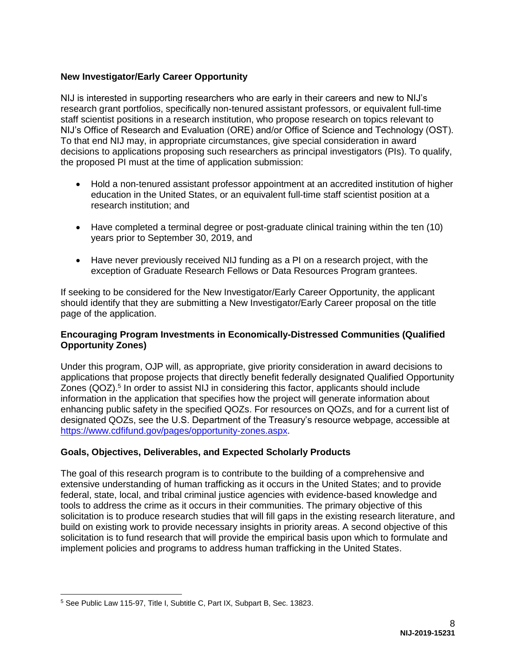# **New Investigator/Early Career Opportunity**

NIJ is interested in supporting researchers who are early in their careers and new to NIJ's research grant portfolios, specifically non-tenured assistant professors, or equivalent full-time staff scientist positions in a research institution, who propose research on topics relevant to NIJ's Office of Research and Evaluation (ORE) and/or Office of Science and Technology (OST). To that end NIJ may, in appropriate circumstances, give special consideration in award decisions to applications proposing such researchers as principal investigators (PIs). To qualify, the proposed PI must at the time of application submission:

- Hold a non-tenured assistant professor appointment at an accredited institution of higher education in the United States, or an equivalent full-time staff scientist position at a research institution; and
- Have completed a terminal degree or post-graduate clinical training within the ten (10) years prior to September 30, 2019, and
- Have never previously received NIJ funding as a PI on a research project, with the exception of Graduate Research Fellows or Data Resources Program grantees.

If seeking to be considered for the New Investigator/Early Career Opportunity, the applicant should identify that they are submitting a New Investigator/Early Career proposal on the title page of the application.

#### **Encouraging Program Investments in Economically-Distressed Communities (Qualified Opportunity Zones)**

Under this program, OJP will, as appropriate, give priority consideration in award decisions to applications that propose projects that directly benefit federally designated Qualified Opportunity Zones (QOZ).<sup>5</sup> In order to assist NIJ in considering this factor, applicants should include information in the application that specifies how the project will generate information about enhancing public safety in the specified QOZs. For resources on QOZs, and for a current list of designated QOZs, see the U.S. Department of the Treasury's resource webpage, accessible at [https://www.cdfifund.gov/pages/opportunity-zones.aspx.](https://www.cdfifund.gov/pages/opportunity-zones.aspx)

#### <span id="page-7-0"></span>**Goals, Objectives, Deliverables, and Expected Scholarly Products**

The goal of this research program is to contribute to the building of a comprehensive and extensive understanding of human trafficking as it occurs in the United States; and to provide federal, state, local, and tribal criminal justice agencies with evidence-based knowledge and tools to address the crime as it occurs in their communities. The primary objective of this solicitation is to produce research studies that will fill gaps in the existing research literature, and build on existing work to provide necessary insights in priority areas. A second objective of this solicitation is to fund research that will provide the empirical basis upon which to formulate and implement policies and programs to address human trafficking in the United States.

<sup>5</sup> See Public Law 115-97, Title I, Subtitle C, Part IX, Subpart B, Sec. 13823.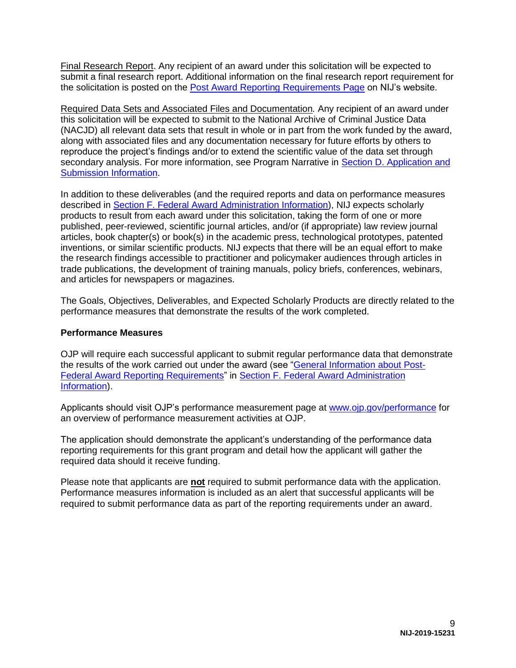Final Research Report. Any recipient of an award under this solicitation will be expected to submit a final research report. Additional information on the final research report requirement for the solicitation is posted on the [Post Award Reporting Requirements Page](https://www.nij.gov/funding/Pages/post-award-reporting.aspx) on NIJ's website.

Required Data Sets and Associated Files and Documentation*.* Any recipient of an award under this solicitation will be expected to submit to the National Archive of Criminal Justice Data (NACJD) all relevant data sets that result in whole or in part from the work funded by the award, along with associated files and any documentation necessary for future efforts by others to reproduce the project's findings and/or to extend the scientific value of the data set through secondary analysis. For more information, see Program Narrative in Section D. Application and [Submission Information.](#page-14-0)

In addition to these deliverables (and the required reports and data on performance measures described in [Section F. Federal Award Administration Information\)](#page-36-0), NIJ expects scholarly products to result from each award under this solicitation, taking the form of one or more published, peer-reviewed, scientific journal articles, and/or (if appropriate) law review journal articles, book chapter(s) or book(s) in the academic press, technological prototypes, patented inventions, or similar scientific products. NIJ expects that there will be an equal effort to make the research findings accessible to practitioner and policymaker audiences through articles in trade publications, the development of training manuals, policy briefs, conferences, webinars, and articles for newspapers or magazines.

The Goals, Objectives, Deliverables, and Expected Scholarly Products are directly related to the performance measures that demonstrate the results of the work completed.

#### **Performance Measures**

OJP will require each successful applicant to submit regular performance data that demonstrate the results of the work carried out under the award (see ["General Information about Post-](#page-38-0)[Federal Award Reporting Requirements"](#page-38-0) in [Section F. Federal Award Administration](#page-36-0)  [Information\)](#page-36-0).

Applicants should visit OJP's performance measurement page at [www.ojp.gov/performance](https://www.ojp.gov/performance) for an overview of performance measurement activities at OJP.

The application should demonstrate the applicant's understanding of the performance data reporting requirements for this grant program and detail how the applicant will gather the required data should it receive funding.

Please note that applicants are **not** required to submit performance data with the application. Performance measures information is included as an alert that successful applicants will be required to submit performance data as part of the reporting requirements under an award.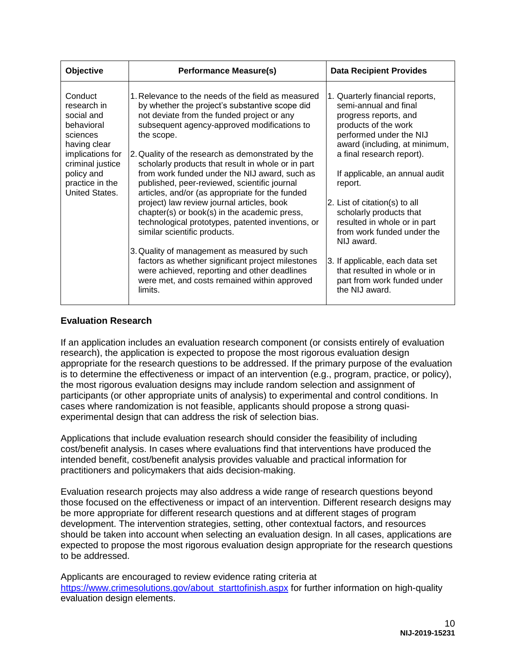| Objective                                                                                                                                                                 | <b>Performance Measure(s)</b>                                                                                                                                                                                                                                                                                                                                                                                                                                                                                                                                                                                                                                                                                                                                                                                                                                                     | <b>Data Recipient Provides</b>                                                                                                                                                                                                                                                                                                                                                                                                                                                                              |
|---------------------------------------------------------------------------------------------------------------------------------------------------------------------------|-----------------------------------------------------------------------------------------------------------------------------------------------------------------------------------------------------------------------------------------------------------------------------------------------------------------------------------------------------------------------------------------------------------------------------------------------------------------------------------------------------------------------------------------------------------------------------------------------------------------------------------------------------------------------------------------------------------------------------------------------------------------------------------------------------------------------------------------------------------------------------------|-------------------------------------------------------------------------------------------------------------------------------------------------------------------------------------------------------------------------------------------------------------------------------------------------------------------------------------------------------------------------------------------------------------------------------------------------------------------------------------------------------------|
| Conduct<br>research in<br>social and<br>behavioral<br>sciences<br>having clear<br>implications for<br>criminal justice<br>policy and<br>practice in the<br>United States. | 1. Relevance to the needs of the field as measured<br>by whether the project's substantive scope did<br>not deviate from the funded project or any<br>subsequent agency-approved modifications to<br>the scope.<br>2. Quality of the research as demonstrated by the<br>scholarly products that result in whole or in part<br>from work funded under the NIJ award, such as<br>published, peer-reviewed, scientific journal<br>articles, and/or (as appropriate for the funded<br>project) law review journal articles, book<br>chapter(s) or book(s) in the academic press,<br>technological prototypes, patented inventions, or<br>similar scientific products.<br>3. Quality of management as measured by such<br>factors as whether significant project milestones<br>were achieved, reporting and other deadlines<br>were met, and costs remained within approved<br>limits. | 1. Quarterly financial reports,<br>semi-annual and final<br>progress reports, and<br>products of the work<br>performed under the NIJ<br>award (including, at minimum,<br>a final research report).<br>If applicable, an annual audit<br>report.<br>2. List of citation(s) to all<br>scholarly products that<br>resulted in whole or in part<br>from work funded under the<br>NIJ award.<br>3. If applicable, each data set<br>that resulted in whole or in<br>part from work funded under<br>the NIJ award. |

# **Evaluation Research**

If an application includes an evaluation research component (or consists entirely of evaluation research), the application is expected to propose the most rigorous evaluation design appropriate for the research questions to be addressed. If the primary purpose of the evaluation is to determine the effectiveness or impact of an intervention (e.g., program, practice, or policy), the most rigorous evaluation designs may include random selection and assignment of participants (or other appropriate units of analysis) to experimental and control conditions. In cases where randomization is not feasible, applicants should propose a strong quasiexperimental design that can address the risk of selection bias.

Applications that include evaluation research should consider the feasibility of including cost/benefit analysis. In cases where evaluations find that interventions have produced the intended benefit, cost/benefit analysis provides valuable and practical information for practitioners and policymakers that aids decision-making.

Evaluation research projects may also address a wide range of research questions beyond those focused on the effectiveness or impact of an intervention. Different research designs may be more appropriate for different research questions and at different stages of program development. The intervention strategies, setting, other contextual factors, and resources should be taken into account when selecting an evaluation design. In all cases, applications are expected to propose the most rigorous evaluation design appropriate for the research questions to be addressed.

Applicants are encouraged to review evidence rating criteria at [https://www.crimesolutions.gov/about\\_starttofinish.aspx](https://www.crimesolutions.gov/about_starttofinish.aspx) for further information on high-quality evaluation design elements.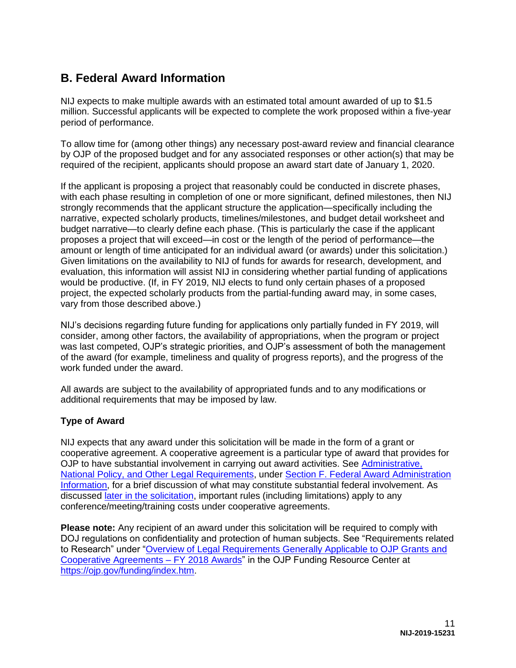# <span id="page-10-0"></span>**B. Federal Award Information**

NIJ expects to make multiple awards with an estimated total amount awarded of up to \$1.5 million. Successful applicants will be expected to complete the work proposed within a five-year period of performance.

To allow time for (among other things) any necessary post-award review and financial clearance by OJP of the proposed budget and for any associated responses or other action(s) that may be required of the recipient, applicants should propose an award start date of January 1, 2020.

If the applicant is proposing a project that reasonably could be conducted in discrete phases, with each phase resulting in completion of one or more significant, defined milestones, then NIJ strongly recommends that the applicant structure the application—specifically including the narrative, expected scholarly products, timelines/milestones, and budget detail worksheet and budget narrative—to clearly define each phase. (This is particularly the case if the applicant proposes a project that will exceed—in cost or the length of the period of performance—the amount or length of time anticipated for an individual award (or awards) under this solicitation.) Given limitations on the availability to NIJ of funds for awards for research, development, and evaluation, this information will assist NIJ in considering whether partial funding of applications would be productive. (If, in FY 2019, NIJ elects to fund only certain phases of a proposed project, the expected scholarly products from the partial-funding award may, in some cases, vary from those described above.)

NIJ's decisions regarding future funding for applications only partially funded in FY 2019, will consider, among other factors, the availability of appropriations, when the program or project was last competed, OJP's strategic priorities, and OJP's assessment of both the management of the award (for example, timeliness and quality of progress reports), and the progress of the work funded under the award.

All awards are subject to the availability of appropriated funds and to any modifications or additional requirements that may be imposed by law.

# <span id="page-10-1"></span>**Type of Award**

NIJ expects that any award under this solicitation will be made in the form of a grant or cooperative agreement. A cooperative agreement is a particular type of award that provides for OJP to have substantial involvement in carrying out award activities. See Administrative, [National Policy, and Other Legal Requirements,](#page-37-0) under [Section F. Federal Award Administration](#page-36-0)  [Information,](#page-36-0) for a brief discussion of what may constitute substantial federal involvement. As discussed [later in the solicitation,](#page-13-0) important rules (including limitations) apply to any conference/meeting/training costs under cooperative agreements.

**Please note:** Any recipient of an award under this solicitation will be required to comply with DOJ regulations on confidentiality and protection of human subjects. See "Requirements related to Research" under ["Overview of Legal Requirements Generally Applicable to OJP Grants and](https://ojp.gov/funding/Explore/LegalOverview/index.htm)  [Cooperative Agreements – FY 2018 Awards"](https://ojp.gov/funding/Explore/LegalOverview/index.htm) in the OJP Funding Resource Center at [https://ojp.gov/funding/index.htm.](https://ojp.gov/funding/index.htm)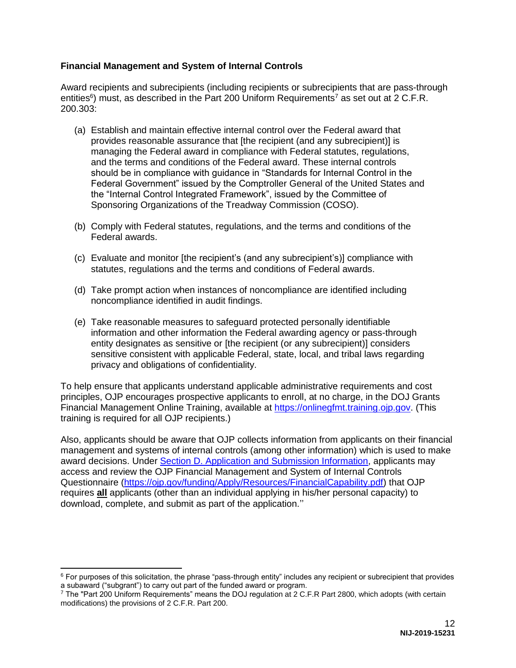### <span id="page-11-0"></span>**Financial Management and System of Internal Controls**

Award recipients and subrecipients (including recipients or subrecipients that are pass-through entities<sup>6</sup>) must, as described in the Part 200 Uniform Requirements<sup>7</sup> as set out at 2 C.F.R. 200.303:

- (a) Establish and maintain effective internal control over the Federal award that provides reasonable assurance that [the recipient (and any subrecipient)] is managing the Federal award in compliance with Federal statutes, regulations, and the terms and conditions of the Federal award. These internal controls should be in compliance with guidance in "Standards for Internal Control in the Federal Government" issued by the Comptroller General of the United States and the "Internal Control Integrated Framework", issued by the Committee of Sponsoring Organizations of the Treadway Commission (COSO).
- (b) Comply with Federal statutes, regulations, and the terms and conditions of the Federal awards.
- (c) Evaluate and monitor [the recipient's (and any subrecipient's)] compliance with statutes, regulations and the terms and conditions of Federal awards.
- (d) Take prompt action when instances of noncompliance are identified including noncompliance identified in audit findings.
- (e) Take reasonable measures to safeguard protected personally identifiable information and other information the Federal awarding agency or pass-through entity designates as sensitive or [the recipient (or any subrecipient)] considers sensitive consistent with applicable Federal, state, local, and tribal laws regarding privacy and obligations of confidentiality.

To help ensure that applicants understand applicable administrative requirements and cost principles, OJP encourages prospective applicants to enroll, at no charge, in the DOJ Grants Financial Management Online Training, available at [https://onlinegfmt.training.ojp.gov.](https://onlinegfmt.training.ojp.gov/) (This training is required for all OJP recipients.)

Also, applicants should be aware that OJP collects information from applicants on their financial management and systems of internal controls (among other information) which is used to make award decisions. Under [Section D. Application and Submission Information,](#page-14-0) applicants may access and review the OJP Financial Management and System of Internal Controls Questionnaire [\(https://ojp.gov/funding/Apply/Resources/FinancialCapability.pdf\)](https://ojp.gov/funding/Apply/Resources/FinancialCapability.pdf) that OJP requires **all** applicants (other than an individual applying in his/her personal capacity) to download, complete, and submit as part of the application.''

 $\overline{a}$ 

 $6$  For purposes of this solicitation, the phrase "pass-through entity" includes any recipient or subrecipient that provides a subaward ("subgrant") to carry out part of the funded award or program.

<sup>7</sup> The "Part 200 Uniform Requirements" means the DOJ regulation at 2 C.F.R Part 2800, which adopts (with certain modifications) the provisions of 2 C.F.R. Part 200.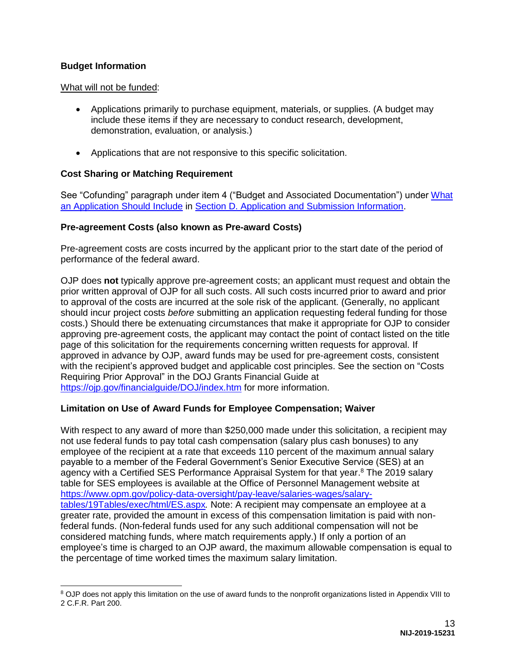## <span id="page-12-0"></span>**Budget Information**

 $\overline{a}$ 

#### What will not be funded:

- Applications primarily to purchase equipment, materials, or supplies. (A budget may include these items if they are necessary to conduct research, development, demonstration, evaluation, or analysis.)
- Applications that are not responsive to this specific solicitation.

### <span id="page-12-1"></span>**Cost Sharing or Matching Requirement**

See "Cofunding" paragraph under item 4 ("Budget and Associated Documentation") under [What](#page-14-1)  [an Application Should Include](#page-14-1) in [Section D. Application and Submission Information.](#page-14-0)

#### <span id="page-12-2"></span>**Pre-agreement Costs (also known as Pre-award Costs)**

Pre-agreement costs are costs incurred by the applicant prior to the start date of the period of performance of the federal award.

OJP does **not** typically approve pre-agreement costs; an applicant must request and obtain the prior written approval of OJP for all such costs. All such costs incurred prior to award and prior to approval of the costs are incurred at the sole risk of the applicant. (Generally, no applicant should incur project costs *before* submitting an application requesting federal funding for those costs.) Should there be extenuating circumstances that make it appropriate for OJP to consider approving pre-agreement costs, the applicant may contact the point of contact listed on the title page of this solicitation for the requirements concerning written requests for approval. If approved in advance by OJP, award funds may be used for pre-agreement costs, consistent with the recipient's approved budget and applicable cost principles. See the section on "Costs Requiring Prior Approval" in the DOJ Grants Financial Guide at <https://ojp.gov/financialguide/DOJ/index.htm>for more information.

#### <span id="page-12-3"></span>**Limitation on Use of Award Funds for Employee Compensation; Waiver**

With respect to any award of more than \$250,000 made under this solicitation, a recipient may not use federal funds to pay total cash compensation (salary plus cash bonuses) to any employee of the recipient at a rate that exceeds 110 percent of the maximum annual salary payable to a member of the Federal Government's Senior Executive Service (SES) at an agency with a Certified SES Performance Appraisal System for that year.<sup>8</sup> The 2019 salary table for SES employees is available at the Office of Personnel Management website at [https://www.opm.gov/policy-data-oversight/pay-leave/salaries-wages/salary](https://www.opm.gov/policy-data-oversight/pay-leave/salaries-wages/salary-tables/19Tables/exec/html/ES.aspx)[tables/19Tables/exec/html/ES.aspx](https://www.opm.gov/policy-data-oversight/pay-leave/salaries-wages/salary-tables/19Tables/exec/html/ES.aspx)*.* Note: A recipient may compensate an employee at a greater rate, provided the amount in excess of this compensation limitation is paid with nonfederal funds. (Non-federal funds used for any such additional compensation will not be considered matching funds, where match requirements apply.) If only a portion of an employee's time is charged to an OJP award, the maximum allowable compensation is equal to the percentage of time worked times the maximum salary limitation.

<sup>&</sup>lt;sup>8</sup> OJP does not apply this limitation on the use of award funds to the nonprofit organizations listed in Appendix VIII to 2 C.F.R. Part 200.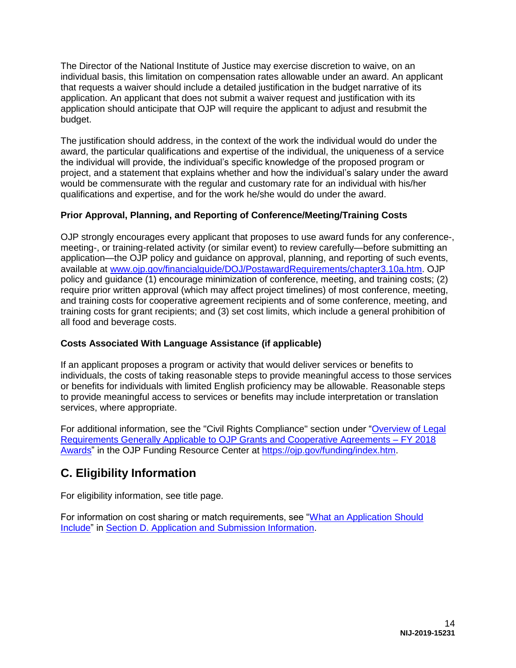The Director of the National Institute of Justice may exercise discretion to waive, on an individual basis, this limitation on compensation rates allowable under an award. An applicant that requests a waiver should include a detailed justification in the budget narrative of its application. An applicant that does not submit a waiver request and justification with its application should anticipate that OJP will require the applicant to adjust and resubmit the budget.

The justification should address, in the context of the work the individual would do under the award, the particular qualifications and expertise of the individual, the uniqueness of a service the individual will provide, the individual's specific knowledge of the proposed program or project, and a statement that explains whether and how the individual's salary under the award would be commensurate with the regular and customary rate for an individual with his/her qualifications and expertise, and for the work he/she would do under the award.

# <span id="page-13-0"></span>**Prior Approval, Planning, and Reporting of Conference/Meeting/Training Costs**

OJP strongly encourages every applicant that proposes to use award funds for any conference-, meeting-, or training-related activity (or similar event) to review carefully—before submitting an application—the OJP policy and guidance on approval, planning, and reporting of such events, available at [www.ojp.gov/financialguide/DOJ/PostawardRequirements/chapter3.10a.htm.](https://ojp.gov/financialguide/DOJ/PostawardRequirements/chapter3.10a.htm) OJP policy and guidance (1) encourage minimization of conference, meeting, and training costs; (2) require prior written approval (which may affect project timelines) of most conference, meeting, and training costs for cooperative agreement recipients and of some conference, meeting, and training costs for grant recipients; and (3) set cost limits, which include a general prohibition of all food and beverage costs.

# <span id="page-13-1"></span>**Costs Associated With Language Assistance (if applicable)**

If an applicant proposes a program or activity that would deliver services or benefits to individuals, the costs of taking reasonable steps to provide meaningful access to those services or benefits for individuals with limited English proficiency may be allowable. Reasonable steps to provide meaningful access to services or benefits may include interpretation or translation services, where appropriate.

For additional information, see the "Civil Rights Compliance" section under ["Overview of Legal](https://ojp.gov/funding/Explore/LegalOverview/index.htm)  [Requirements Generally Applicable to OJP Grants and Cooperative Agreements – FY 2018](https://ojp.gov/funding/Explore/LegalOverview/index.htm)  [Awards"](https://ojp.gov/funding/Explore/LegalOverview/index.htm) in the OJP Funding Resource Center at [https://ojp.gov/funding/index.htm.](https://ojp.gov/funding/index.htm)

# <span id="page-13-2"></span>**C. Eligibility Information**

For eligibility information, see title page.

For information on cost sharing or match requirements, see ["What an Application Should](#page-14-1)  [Include"](#page-14-1) in [Section D. Application and Submission Information.](#page-14-0)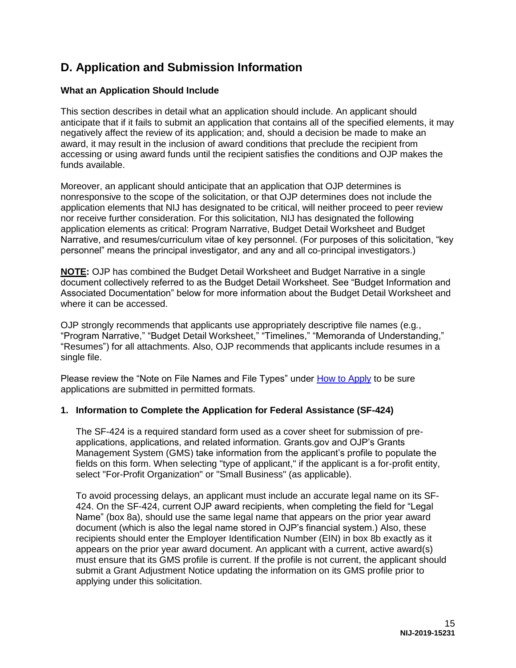# <span id="page-14-0"></span>**D. Application and Submission Information**

## <span id="page-14-1"></span>**What an Application Should Include**

This section describes in detail what an application should include. An applicant should anticipate that if it fails to submit an application that contains all of the specified elements, it may negatively affect the review of its application; and, should a decision be made to make an award, it may result in the inclusion of award conditions that preclude the recipient from accessing or using award funds until the recipient satisfies the conditions and OJP makes the funds available.

Moreover, an applicant should anticipate that an application that OJP determines is nonresponsive to the scope of the solicitation, or that OJP determines does not include the application elements that NIJ has designated to be critical, will neither proceed to peer review nor receive further consideration. For this solicitation, NIJ has designated the following application elements as critical: Program Narrative, Budget Detail Worksheet and Budget Narrative, and resumes/curriculum vitae of key personnel. (For purposes of this solicitation, "key personnel" means the principal investigator, and any and all co-principal investigators.)

**NOTE:** OJP has combined the Budget Detail Worksheet and Budget Narrative in a single document collectively referred to as the Budget Detail Worksheet. See "Budget Information and Associated Documentation" below for more information about the Budget Detail Worksheet and where it can be accessed.

OJP strongly recommends that applicants use appropriately descriptive file names (e.g*.*, "Program Narrative," "Budget Detail Worksheet," "Timelines," "Memoranda of Understanding," "Resumes") for all attachments. Also, OJP recommends that applicants include resumes in a single file.

Please review the "Note on File Names and File Types" under [How to Apply](#page-28-0) to be sure applications are submitted in permitted formats.

#### **1. Information to Complete the Application for Federal Assistance (SF-424)**

The SF-424 is a required standard form used as a cover sheet for submission of preapplications, applications, and related information. Grants.gov and OJP's Grants Management System (GMS) take information from the applicant's profile to populate the fields on this form. When selecting "type of applicant," if the applicant is a for-profit entity, select "For-Profit Organization" or "Small Business" (as applicable).

To avoid processing delays, an applicant must include an accurate legal name on its SF-424. On the SF-424, current OJP award recipients, when completing the field for "Legal Name" (box 8a), should use the same legal name that appears on the prior year award document (which is also the legal name stored in OJP's financial system.) Also, these recipients should enter the Employer Identification Number (EIN) in box 8b exactly as it appears on the prior year award document. An applicant with a current, active award(s) must ensure that its GMS profile is current. If the profile is not current, the applicant should submit a Grant Adjustment Notice updating the information on its GMS profile prior to applying under this solicitation.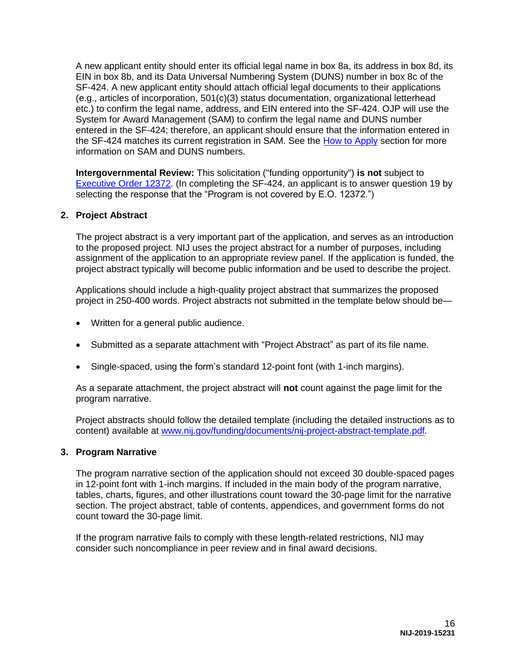A new applicant entity should enter its official legal name in box 8a, its address in box 8d, its EIN in box 8b, and its Data Universal Numbering System (DUNS) number in box 8c of the SF-424. A new applicant entity should attach official legal documents to their applications (e.g., articles of incorporation, 501(c)(3) status documentation, organizational letterhead etc.) to confirm the legal name, address, and EIN entered into the SF-424. OJP will use the System for Award Management (SAM) to confirm the legal name and DUNS number entered in the SF-424; therefore, an applicant should ensure that the information entered in the SF-424 matches its current registration in SAM. See the [How to Apply](#page-28-0) section for more information on SAM and DUNS numbers.

**Intergovernmental Review:** This solicitation ("funding opportunity") **is not** subject to [Executive Order 12372.](https://www.archives.gov/federal-register/codification/executive-order/12372.html) (In completing the SF-424, an applicant is to answer question 19 by selecting the response that the "Program is not covered by E.O. 12372.")

#### **2. Project Abstract**

The project abstract is a very important part of the application, and serves as an introduction to the proposed project. NIJ uses the project abstract for a number of purposes, including assignment of the application to an appropriate review panel. If the application is funded, the project abstract typically will become public information and be used to describe the project.

Applications should include a high-quality project abstract that summarizes the proposed project in 250-400 words. Project abstracts not submitted in the template below should be—

- Written for a general public audience.
- Submitted as a separate attachment with "Project Abstract" as part of its file name.
- Single-spaced, using the form's standard 12-point font (with 1-inch margins).

As a separate attachment, the project abstract will **not** count against the page limit for the program narrative.

Project abstracts should follow the detailed template (including the detailed instructions as to content) available at [www.nij.gov/funding/documents/nij-project-abstract-template.pdf](https://nij.gov/funding/documents/nij-project-abstract-template.pdf)*.*

#### **3. Program Narrative**

The program narrative section of the application should not exceed 30 double-spaced pages in 12-point font with 1-inch margins. If included in the main body of the program narrative, tables, charts, figures, and other illustrations count toward the 30-page limit for the narrative section. The project abstract, table of contents, appendices, and government forms do not count toward the 30-page limit.

If the program narrative fails to comply with these length-related restrictions, NIJ may consider such noncompliance in peer review and in final award decisions.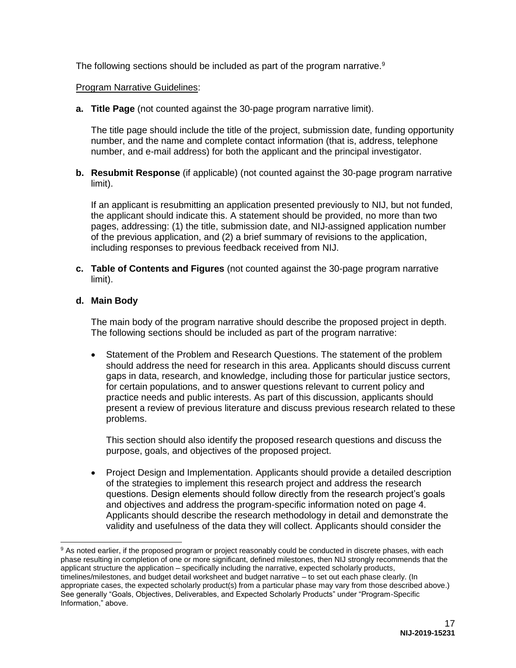The following sections should be included as part of the program narrative.<sup>9</sup>

#### Program Narrative Guidelines:

**a. Title Page** (not counted against the 30-page program narrative limit).

The title page should include the title of the project, submission date, funding opportunity number, and the name and complete contact information (that is, address, telephone number, and e-mail address) for both the applicant and the principal investigator.

**b. Resubmit Response** (if applicable) (not counted against the 30-page program narrative limit).

If an applicant is resubmitting an application presented previously to NIJ, but not funded, the applicant should indicate this. A statement should be provided, no more than two pages, addressing: (1) the title, submission date, and NIJ-assigned application number of the previous application, and (2) a brief summary of revisions to the application, including responses to previous feedback received from NIJ.

**c. Table of Contents and Figures** (not counted against the 30-page program narrative limit).

#### **d. Main Body**

 $\overline{a}$ 

The main body of the program narrative should describe the proposed project in depth. The following sections should be included as part of the program narrative:

 Statement of the Problem and Research Questions. The statement of the problem should address the need for research in this area. Applicants should discuss current gaps in data, research, and knowledge, including those for particular justice sectors, for certain populations, and to answer questions relevant to current policy and practice needs and public interests. As part of this discussion, applicants should present a review of previous literature and discuss previous research related to these problems.

This section should also identify the proposed research questions and discuss the purpose, goals, and objectives of the proposed project.

 Project Design and Implementation. Applicants should provide a detailed description of the strategies to implement this research project and address the research questions. Design elements should follow directly from the research project's goals and objectives and address the program-specific information noted on page 4. Applicants should describe the research methodology in detail and demonstrate the validity and usefulness of the data they will collect. Applicants should consider the

<sup>&</sup>lt;sup>9</sup> As noted earlier, if the proposed program or project reasonably could be conducted in discrete phases, with each phase resulting in completion of one or more significant, defined milestones, then NIJ strongly recommends that the applicant structure the application – specifically including the narrative, expected scholarly products, timelines/milestones, and budget detail worksheet and budget narrative – to set out each phase clearly. (In appropriate cases, the expected scholarly product(s) from a particular phase may vary from those described above.) See generally "Goals, Objectives, Deliverables, and Expected Scholarly Products" under "Program-Specific Information," above.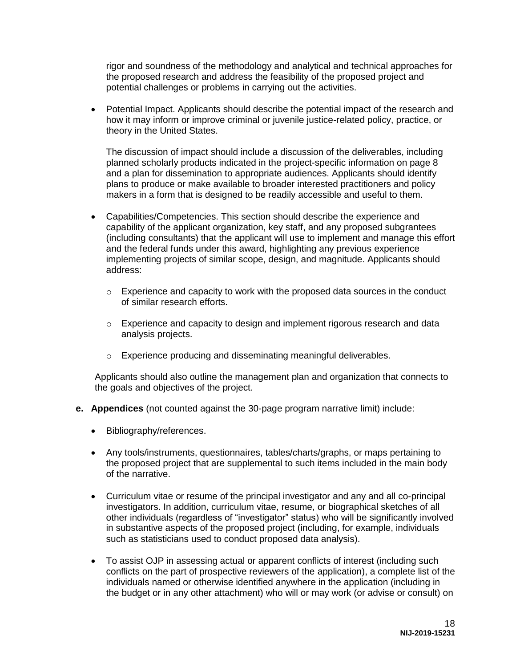rigor and soundness of the methodology and analytical and technical approaches for the proposed research and address the feasibility of the proposed project and potential challenges or problems in carrying out the activities.

• Potential Impact. Applicants should describe the potential impact of the research and how it may inform or improve criminal or juvenile justice-related policy, practice, or theory in the United States.

The discussion of impact should include a discussion of the deliverables, including planned scholarly products indicated in the project-specific information on page 8 and a plan for dissemination to appropriate audiences. Applicants should identify plans to produce or make available to broader interested practitioners and policy makers in a form that is designed to be readily accessible and useful to them.

- Capabilities/Competencies. This section should describe the experience and capability of the applicant organization, key staff, and any proposed subgrantees (including consultants) that the applicant will use to implement and manage this effort and the federal funds under this award, highlighting any previous experience implementing projects of similar scope, design, and magnitude. Applicants should address:
	- $\circ$  Experience and capacity to work with the proposed data sources in the conduct of similar research efforts.
	- $\circ$  Experience and capacity to design and implement rigorous research and data analysis projects.
	- o Experience producing and disseminating meaningful deliverables.

Applicants should also outline the management plan and organization that connects to the goals and objectives of the project.

- **e. Appendices** (not counted against the 30-page program narrative limit) include:
	- Bibliography/references.
	- Any tools/instruments, questionnaires, tables/charts/graphs, or maps pertaining to the proposed project that are supplemental to such items included in the main body of the narrative.
	- Curriculum vitae or resume of the principal investigator and any and all co-principal investigators. In addition, curriculum vitae, resume, or biographical sketches of all other individuals (regardless of "investigator" status) who will be significantly involved in substantive aspects of the proposed project (including, for example, individuals such as statisticians used to conduct proposed data analysis).
	- To assist OJP in assessing actual or apparent conflicts of interest (including such conflicts on the part of prospective reviewers of the application), a complete list of the individuals named or otherwise identified anywhere in the application (including in the budget or in any other attachment) who will or may work (or advise or consult) on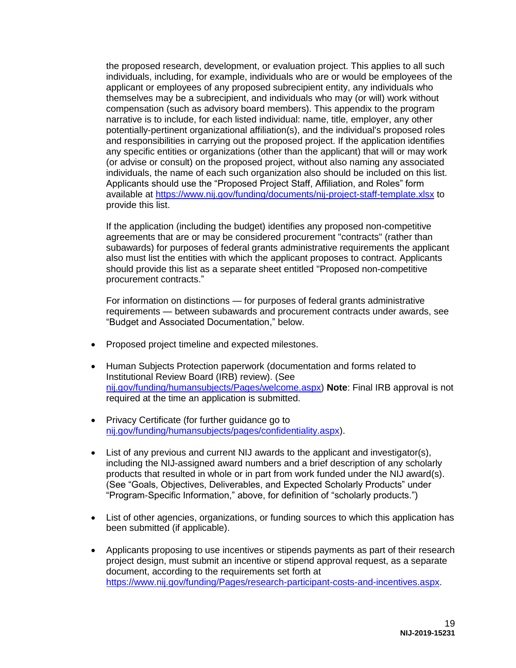the proposed research, development, or evaluation project. This applies to all such individuals, including, for example, individuals who are or would be employees of the applicant or employees of any proposed subrecipient entity, any individuals who themselves may be a subrecipient, and individuals who may (or will) work without compensation (such as advisory board members). This appendix to the program narrative is to include, for each listed individual: name, title, employer, any other potentially-pertinent organizational affiliation(s), and the individual's proposed roles and responsibilities in carrying out the proposed project. If the application identifies any specific entities or organizations (other than the applicant) that will or may work (or advise or consult) on the proposed project, without also naming any associated individuals, the name of each such organization also should be included on this list. Applicants should use the "Proposed Project Staff, Affiliation, and Roles" form available at<https://www.nij.gov/funding/documents/nij-project-staff-template.xlsx>to provide this list.

If the application (including the budget) identifies any proposed non-competitive agreements that are or may be considered procurement "contracts" (rather than subawards) for purposes of federal grants administrative requirements the applicant also must list the entities with which the applicant proposes to contract. Applicants should provide this list as a separate sheet entitled "Proposed non-competitive procurement contracts."

For information on distinctions — for purposes of federal grants administrative requirements — between subawards and procurement contracts under awards, see "Budget and Associated Documentation," below.

- Proposed project timeline and expected milestones.
- Human Subjects Protection paperwork (documentation and forms related to Institutional Review Board (IRB) review). (See [nij.gov/funding/humansubjects/Pages/welcome.aspx\)](https://nij.gov/funding/humansubjects/Pages/welcome.aspx) **Note**: Final IRB approval is not required at the time an application is submitted.
- Privacy Certificate (for further guidance go to [nij.gov/funding/humansubjects/pages/confidentiality.aspx\)](https://nij.gov/funding/humansubjects/pages/confidentiality.aspx).
- List of any previous and current NIJ awards to the applicant and investigator(s), including the NIJ-assigned award numbers and a brief description of any scholarly products that resulted in whole or in part from work funded under the NIJ award(s). (See "Goals, Objectives, Deliverables, and Expected Scholarly Products" under "Program-Specific Information," above, for definition of "scholarly products.")
- List of other agencies, organizations, or funding sources to which this application has been submitted (if applicable).
- Applicants proposing to use incentives or stipends payments as part of their research project design, must submit an incentive or stipend approval request, as a separate document, according to the requirements set forth at [https://www.nij.gov/funding/Pages/research-participant-costs-and-incentives.aspx.](https://www.nij.gov/funding/Pages/research-participant-costs-and-incentives.aspx)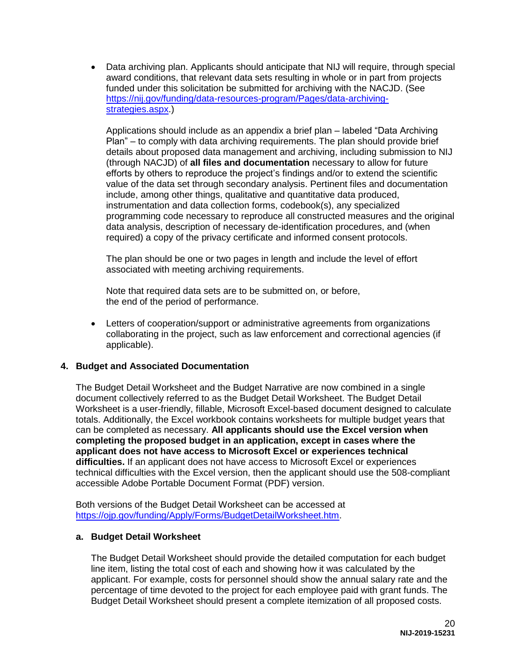• Data archiving plan. Applicants should anticipate that NIJ will require, through special award conditions, that relevant data sets resulting in whole or in part from projects funded under this solicitation be submitted for archiving with the NACJD. (See [https://nij.gov/funding/data-resources-program/Pages/data-archiving](https://nij.gov/funding/data-resources-program/Pages/data-archiving-strategies.aspx)[strategies.aspx.](https://nij.gov/funding/data-resources-program/Pages/data-archiving-strategies.aspx))

Applications should include as an appendix a brief plan – labeled "Data Archiving Plan" – to comply with data archiving requirements. The plan should provide brief details about proposed data management and archiving, including submission to NIJ (through NACJD) of **all files and documentation** necessary to allow for future efforts by others to reproduce the project's findings and/or to extend the scientific value of the data set through secondary analysis. Pertinent files and documentation include, among other things, qualitative and quantitative data produced, instrumentation and data collection forms, codebook(s), any specialized programming code necessary to reproduce all constructed measures and the original data analysis, description of necessary de-identification procedures, and (when required) a copy of the privacy certificate and informed consent protocols.

The plan should be one or two pages in length and include the level of effort associated with meeting archiving requirements.

Note that required data sets are to be submitted on, or before, the end of the period of performance.

 Letters of cooperation/support or administrative agreements from organizations collaborating in the project, such as law enforcement and correctional agencies (if applicable).

#### **4. Budget and Associated Documentation**

The Budget Detail Worksheet and the Budget Narrative are now combined in a single document collectively referred to as the Budget Detail Worksheet. The Budget Detail Worksheet is a user-friendly, fillable, Microsoft Excel-based document designed to calculate totals. Additionally, the Excel workbook contains worksheets for multiple budget years that can be completed as necessary. **All applicants should use the Excel version when completing the proposed budget in an application, except in cases where the applicant does not have access to Microsoft Excel or experiences technical difficulties.** If an applicant does not have access to Microsoft Excel or experiences technical difficulties with the Excel version, then the applicant should use the 508-compliant accessible Adobe Portable Document Format (PDF) version.

Both versions of the Budget Detail Worksheet can be accessed at [https://ojp.gov/funding/Apply/Forms/BudgetDetailWorksheet.htm.](https://ojp.gov/funding/Apply/Forms/BudgetDetailWorksheet.htm)

#### **a. Budget Detail Worksheet**

The Budget Detail Worksheet should provide the detailed computation for each budget line item, listing the total cost of each and showing how it was calculated by the applicant. For example, costs for personnel should show the annual salary rate and the percentage of time devoted to the project for each employee paid with grant funds. The Budget Detail Worksheet should present a complete itemization of all proposed costs.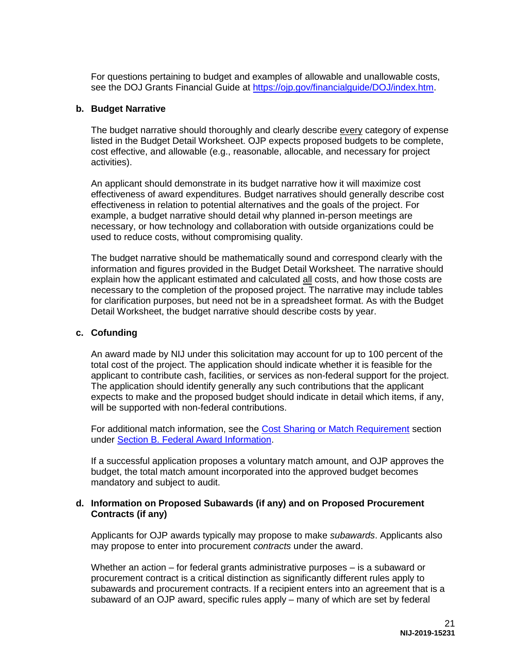For questions pertaining to budget and examples of allowable and unallowable costs, see the DOJ Grants Financial Guide at [https://ojp.gov/financialguide/DOJ/index.htm.](https://ojp.gov/financialguide/DOJ/index.htm)

#### **b. Budget Narrative**

The budget narrative should thoroughly and clearly describe every category of expense listed in the Budget Detail Worksheet. OJP expects proposed budgets to be complete, cost effective, and allowable (e.g., reasonable, allocable, and necessary for project activities).

An applicant should demonstrate in its budget narrative how it will maximize cost effectiveness of award expenditures. Budget narratives should generally describe cost effectiveness in relation to potential alternatives and the goals of the project. For example, a budget narrative should detail why planned in-person meetings are necessary, or how technology and collaboration with outside organizations could be used to reduce costs, without compromising quality.

The budget narrative should be mathematically sound and correspond clearly with the information and figures provided in the Budget Detail Worksheet. The narrative should explain how the applicant estimated and calculated all costs, and how those costs are necessary to the completion of the proposed project. The narrative may include tables for clarification purposes, but need not be in a spreadsheet format. As with the Budget Detail Worksheet, the budget narrative should describe costs by year.

#### **c. Cofunding**

An award made by NIJ under this solicitation may account for up to 100 percent of the total cost of the project. The application should indicate whether it is feasible for the applicant to contribute cash, facilities, or services as non-federal support for the project. The application should identify generally any such contributions that the applicant expects to make and the proposed budget should indicate in detail which items, if any, will be supported with non-federal contributions.

For additional match information, see the [Cost Sharing or Match Requirement](#page-12-1) section under [Section B. Federal Award Information.](#page-10-0)

If a successful application proposes a voluntary match amount, and OJP approves the budget, the total match amount incorporated into the approved budget becomes mandatory and subject to audit.

#### **d. Information on Proposed Subawards (if any) and on Proposed Procurement Contracts (if any)**

Applicants for OJP awards typically may propose to make *subawards*. Applicants also may propose to enter into procurement *contracts* under the award.

Whether an action – for federal grants administrative purposes – is a subaward or procurement contract is a critical distinction as significantly different rules apply to subawards and procurement contracts. If a recipient enters into an agreement that is a subaward of an OJP award, specific rules apply – many of which are set by federal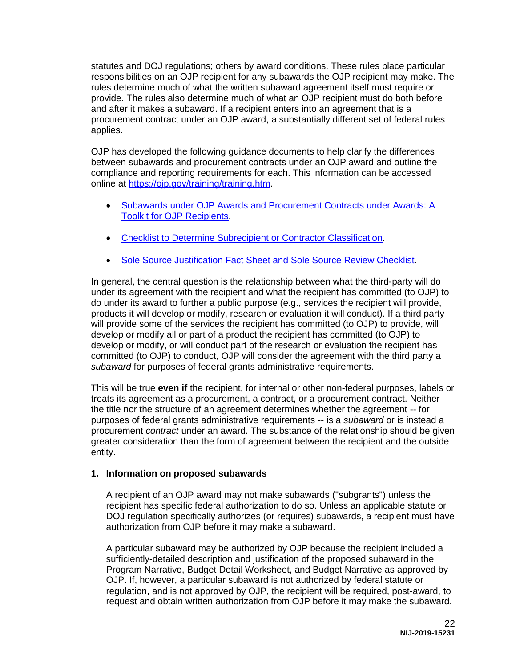statutes and DOJ regulations; others by award conditions. These rules place particular responsibilities on an OJP recipient for any subawards the OJP recipient may make. The rules determine much of what the written subaward agreement itself must require or provide. The rules also determine much of what an OJP recipient must do both before and after it makes a subaward. If a recipient enters into an agreement that is a procurement contract under an OJP award, a substantially different set of federal rules applies.

OJP has developed the following guidance documents to help clarify the differences between subawards and procurement contracts under an OJP award and outline the compliance and reporting requirements for each. This information can be accessed online at [https://ojp.gov/training/training.htm.](https://ojp.gov/training/training.htm)

- [Subawards under OJP Awards and Procurement Contracts under Awards: A](https://ojp.gov/training/pdfs/Subaward-Procure-Toolkit-D.pdf)  [Toolkit for OJP Recipients.](https://ojp.gov/training/pdfs/Subaward-Procure-Toolkit-D.pdf)
- [Checklist to Determine Subrecipient or Contractor Classification.](https://ojp.gov/training/pdfs/Subrecipient-Procure-cklist-B.pdf)
- **[Sole Source Justification Fact Sheet and Sole Source Review Checklist.](https://ojp.gov/training/pdfs/Sole-Source-FactSheet-C.pdf)**

In general, the central question is the relationship between what the third-party will do under its agreement with the recipient and what the recipient has committed (to OJP) to do under its award to further a public purpose (e.g., services the recipient will provide, products it will develop or modify, research or evaluation it will conduct). If a third party will provide some of the services the recipient has committed (to OJP) to provide, will develop or modify all or part of a product the recipient has committed (to OJP) to develop or modify, or will conduct part of the research or evaluation the recipient has committed (to OJP) to conduct, OJP will consider the agreement with the third party a *subaward* for purposes of federal grants administrative requirements.

This will be true **even if** the recipient, for internal or other non-federal purposes, labels or treats its agreement as a procurement, a contract, or a procurement contract. Neither the title nor the structure of an agreement determines whether the agreement -- for purposes of federal grants administrative requirements -- is a *subaward* or is instead a procurement *contract* under an award. The substance of the relationship should be given greater consideration than the form of agreement between the recipient and the outside entity.

# **1. Information on proposed subawards**

A recipient of an OJP award may not make subawards ("subgrants") unless the recipient has specific federal authorization to do so. Unless an applicable statute or DOJ regulation specifically authorizes (or requires) subawards, a recipient must have authorization from OJP before it may make a subaward.

A particular subaward may be authorized by OJP because the recipient included a sufficiently-detailed description and justification of the proposed subaward in the Program Narrative, Budget Detail Worksheet, and Budget Narrative as approved by OJP. If, however, a particular subaward is not authorized by federal statute or regulation, and is not approved by OJP, the recipient will be required, post-award, to request and obtain written authorization from OJP before it may make the subaward.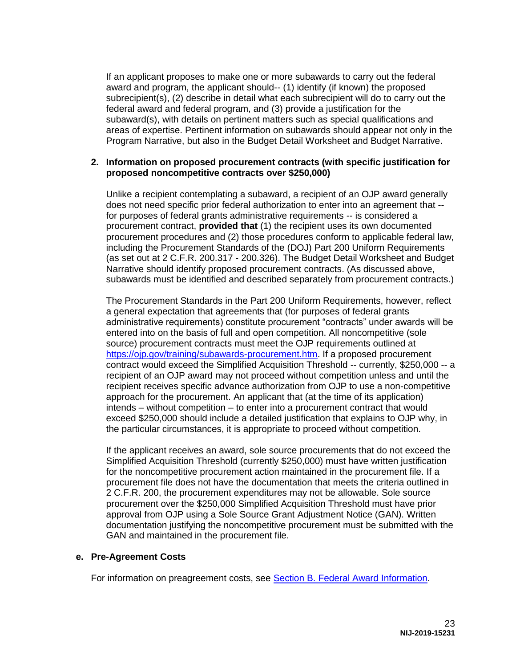If an applicant proposes to make one or more subawards to carry out the federal award and program, the applicant should-- (1) identify (if known) the proposed subrecipient(s), (2) describe in detail what each subrecipient will do to carry out the federal award and federal program, and (3) provide a justification for the subaward(s), with details on pertinent matters such as special qualifications and areas of expertise. Pertinent information on subawards should appear not only in the Program Narrative, but also in the Budget Detail Worksheet and Budget Narrative.

#### **2. Information on proposed procurement contracts (with specific justification for proposed noncompetitive contracts over \$250,000)**

Unlike a recipient contemplating a subaward, a recipient of an OJP award generally does not need specific prior federal authorization to enter into an agreement that - for purposes of federal grants administrative requirements -- is considered a procurement contract, **provided that** (1) the recipient uses its own documented procurement procedures and (2) those procedures conform to applicable federal law, including the Procurement Standards of the (DOJ) Part 200 Uniform Requirements (as set out at 2 C.F.R. 200.317 - 200.326). The Budget Detail Worksheet and Budget Narrative should identify proposed procurement contracts. (As discussed above, subawards must be identified and described separately from procurement contracts.)

The Procurement Standards in the Part 200 Uniform Requirements, however, reflect a general expectation that agreements that (for purposes of federal grants administrative requirements) constitute procurement "contracts" under awards will be entered into on the basis of full and open competition. All noncompetitive (sole source) procurement contracts must meet the OJP requirements outlined at [https://ojp.gov/training/subawards-procurement.htm.](https://ojp.gov/training/subawards-procurement.htm) If a proposed procurement contract would exceed the Simplified Acquisition Threshold -- currently, \$250,000 -- a recipient of an OJP award may not proceed without competition unless and until the recipient receives specific advance authorization from OJP to use a non-competitive approach for the procurement. An applicant that (at the time of its application) intends – without competition – to enter into a procurement contract that would exceed \$250,000 should include a detailed justification that explains to OJP why, in the particular circumstances, it is appropriate to proceed without competition.

If the applicant receives an award, sole source procurements that do not exceed the Simplified Acquisition Threshold (currently \$250,000) must have written justification for the noncompetitive procurement action maintained in the procurement file. If a procurement file does not have the documentation that meets the criteria outlined in 2 C.F.R. 200, the procurement expenditures may not be allowable. Sole source procurement over the \$250,000 Simplified Acquisition Threshold must have prior approval from OJP using a Sole Source Grant Adjustment Notice (GAN). Written documentation justifying the noncompetitive procurement must be submitted with the GAN and maintained in the procurement file.

#### **e. Pre-Agreement Costs**

For information on preagreement costs, see [Section B. Federal Award Information.](#page-10-0)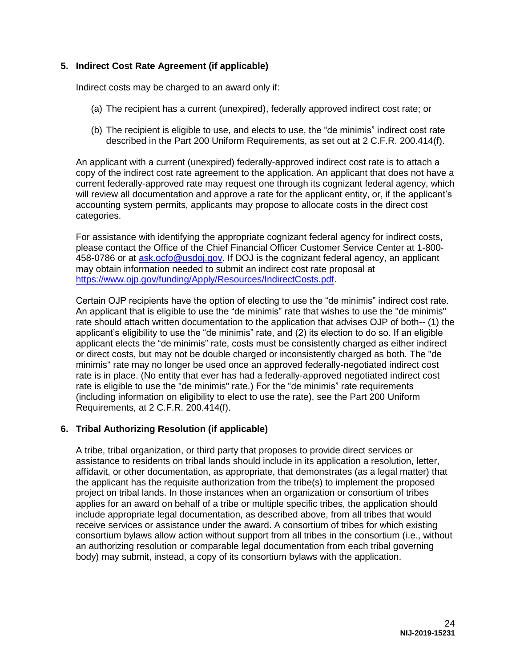# **5. Indirect Cost Rate Agreement (if applicable)**

Indirect costs may be charged to an award only if:

- (a) The recipient has a current (unexpired), federally approved indirect cost rate; or
- (b) The recipient is eligible to use, and elects to use, the "de minimis" indirect cost rate described in the Part 200 Uniform Requirements, as set out at 2 C.F.R. 200.414(f).

An applicant with a current (unexpired) federally-approved indirect cost rate is to attach a copy of the indirect cost rate agreement to the application. An applicant that does not have a current federally-approved rate may request one through its cognizant federal agency, which will review all documentation and approve a rate for the applicant entity, or, if the applicant's accounting system permits, applicants may propose to allocate costs in the direct cost categories.

For assistance with identifying the appropriate cognizant federal agency for indirect costs, please contact the Office of the Chief Financial Officer Customer Service Center at 1-800- 458-0786 or at [ask.ocfo@usdoj.gov.](mailto:ask.ocfo@usdoj.gov) If DOJ is the cognizant federal agency, an applicant may obtain information needed to submit an indirect cost rate proposal at [https://www.ojp.gov/funding/Apply/Resources/IndirectCosts.pdf.](https://www.ojp.gov/funding/Apply/Resources/IndirectCosts.pdf)

Certain OJP recipients have the option of electing to use the "de minimis" indirect cost rate. An applicant that is eligible to use the "de minimis" rate that wishes to use the "de minimis" rate should attach written documentation to the application that advises OJP of both-- (1) the applicant's eligibility to use the "de minimis" rate, and (2) its election to do so. If an eligible applicant elects the "de minimis" rate, costs must be consistently charged as either indirect or direct costs, but may not be double charged or inconsistently charged as both. The "de minimis" rate may no longer be used once an approved federally-negotiated indirect cost rate is in place. (No entity that ever has had a federally-approved negotiated indirect cost rate is eligible to use the "de minimis" rate.) For the "de minimis" rate requirements (including information on eligibility to elect to use the rate), see the Part 200 Uniform Requirements, at 2 C.F.R. 200.414(f).

#### **6. Tribal Authorizing Resolution (if applicable)**

A tribe, tribal organization, or third party that proposes to provide direct services or assistance to residents on tribal lands should include in its application a resolution, letter, affidavit, or other documentation, as appropriate, that demonstrates (as a legal matter) that the applicant has the requisite authorization from the tribe(s) to implement the proposed project on tribal lands. In those instances when an organization or consortium of tribes applies for an award on behalf of a tribe or multiple specific tribes, the application should include appropriate legal documentation, as described above, from all tribes that would receive services or assistance under the award. A consortium of tribes for which existing consortium bylaws allow action without support from all tribes in the consortium (i.e., without an authorizing resolution or comparable legal documentation from each tribal governing body) may submit, instead, a copy of its consortium bylaws with the application.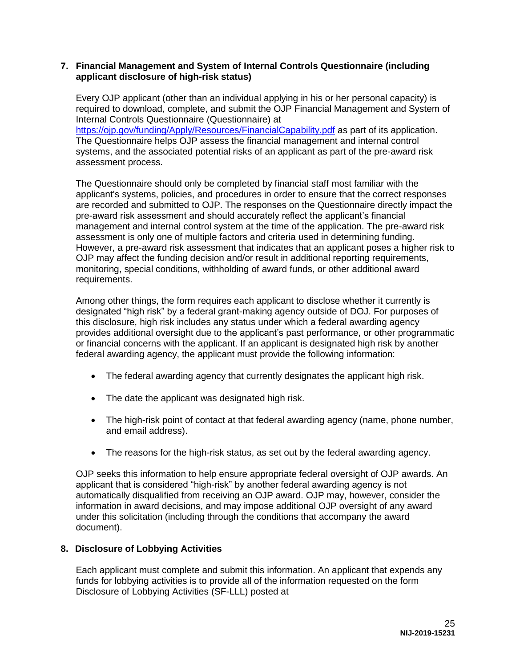#### **7. Financial Management and System of Internal Controls Questionnaire (including applicant disclosure of high-risk status)**

Every OJP applicant (other than an individual applying in his or her personal capacity) is required to download, complete, and submit the [OJP Financial Management and System of](https://ojp.gov/funding/Apply/Resources/FinancialCapability.pdf)  [Internal Controls Questionnaire](https://ojp.gov/funding/Apply/Resources/FinancialCapability.pdf) (Questionnaire) at <https://ojp.gov/funding/Apply/Resources/FinancialCapability.pdf> as part of its application. The Questionnaire helps OJP assess the financial management and internal control systems, and the associated potential risks of an applicant as part of the pre-award risk assessment process.

The Questionnaire should only be completed by financial staff most familiar with the applicant's systems, policies, and procedures in order to ensure that the correct responses are recorded and submitted to OJP. The responses on the Questionnaire directly impact the pre-award risk assessment and should accurately reflect the applicant's financial management and internal control system at the time of the application. The pre-award risk assessment is only one of multiple factors and criteria used in determining funding. However, a pre-award risk assessment that indicates that an applicant poses a higher risk to OJP may affect the funding decision and/or result in additional reporting requirements, monitoring, special conditions, withholding of award funds, or other additional award requirements.

Among other things, the form requires each applicant to disclose whether it currently is designated "high risk" by a federal grant-making agency outside of DOJ. For purposes of this disclosure, high risk includes any status under which a federal awarding agency provides additional oversight due to the applicant's past performance, or other programmatic or financial concerns with the applicant. If an applicant is designated high risk by another federal awarding agency, the applicant must provide the following information:

- The federal awarding agency that currently designates the applicant high risk.
- The date the applicant was designated high risk.
- The high-risk point of contact at that federal awarding agency (name, phone number, and email address).
- The reasons for the high-risk status, as set out by the federal awarding agency.

OJP seeks this information to help ensure appropriate federal oversight of OJP awards. An applicant that is considered "high-risk" by another federal awarding agency is not automatically disqualified from receiving an OJP award. OJP may, however, consider the information in award decisions, and may impose additional OJP oversight of any award under this solicitation (including through the conditions that accompany the award document).

#### **8. Disclosure of Lobbying Activities**

Each applicant must complete and submit this information. An applicant that expends any funds for lobbying activities is to provide all of the information requested on the form Disclosure of Lobbying Activities (SF-LLL) posted at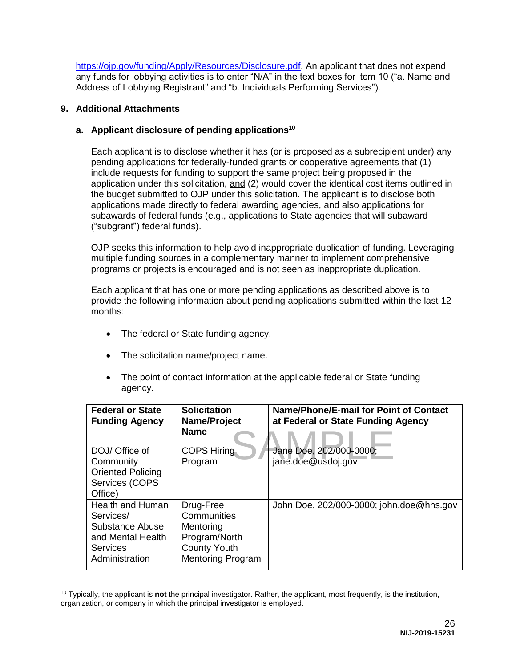[https://ojp.gov/funding/Apply/Resources/Disclosure.pdf.](https://ojp.gov/funding/Apply/Resources/Disclosure.pdf) An applicant that does not expend any funds for lobbying activities is to enter "N/A" in the text boxes for item 10 ("a. Name and Address of Lobbying Registrant" and "b. Individuals Performing Services").

### **9. Additional Attachments**

## **a. Applicant disclosure of pending applications<sup>10</sup>**

Each applicant is to disclose whether it has (or is proposed as a subrecipient under) any pending applications for federally-funded grants or cooperative agreements that (1) include requests for funding to support the same project being proposed in the application under this solicitation, and (2) would cover the identical cost items outlined in the budget submitted to OJP under this solicitation. The applicant is to disclose both applications made directly to federal awarding agencies, and also applications for subawards of federal funds (e.g., applications to State agencies that will subaward ("subgrant") federal funds).

OJP seeks this information to help avoid inappropriate duplication of funding. Leveraging multiple funding sources in a complementary manner to implement comprehensive programs or projects is encouraged and is not seen as inappropriate duplication.

Each applicant that has one or more pending applications as described above is to provide the following information about pending applications submitted within the last 12 months:

- The federal or State funding agency.
- The solicitation name/project name.
- The point of contact information at the applicable federal or State funding agency.

| <b>Federal or State</b><br><b>Funding Agency</b>                                                           | <b>Solicitation</b><br>Name/Project<br><b>Name</b>                                                        | Name/Phone/E-mail for Point of Contact<br>at Federal or State Funding Agency |
|------------------------------------------------------------------------------------------------------------|-----------------------------------------------------------------------------------------------------------|------------------------------------------------------------------------------|
| DOJ/ Office of<br>Community<br><b>Oriented Policing</b><br>Services (COPS<br>Office)                       | <b>COPS Hiring</b><br>Program                                                                             | Jane Doe, 202/000-0000;<br>jane.doe@usdoj.gov                                |
| Health and Human<br>Services/<br>Substance Abuse<br>and Mental Health<br><b>Services</b><br>Administration | Drug-Free<br>Communities<br>Mentoring<br>Program/North<br><b>County Youth</b><br><b>Mentoring Program</b> | John Doe, 202/000-0000; john.doe@hhs.gov                                     |

 $\overline{a}$ <sup>10</sup> Typically, the applicant is **not** the principal investigator. Rather, the applicant, most frequently, is the institution, organization, or company in which the principal investigator is employed.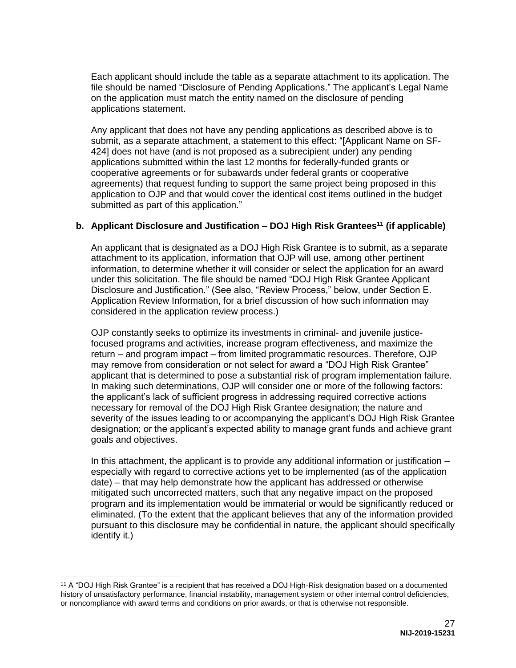Each applicant should include the table as a separate attachment to its application. The file should be named "Disclosure of Pending Applications." The applicant's Legal Name on the application must match the entity named on the disclosure of pending applications statement.

Any applicant that does not have any pending applications as described above is to submit, as a separate attachment, a statement to this effect: "[Applicant Name on SF-424] does not have (and is not proposed as a subrecipient under) any pending applications submitted within the last 12 months for federally-funded grants or cooperative agreements or for subawards under federal grants or cooperative agreements) that request funding to support the same project being proposed in this application to OJP and that would cover the identical cost items outlined in the budget submitted as part of this application."

### **b. Applicant Disclosure and Justification – DOJ High Risk Grantees<sup>11</sup> (if applicable)**

An applicant that is designated as a DOJ High Risk Grantee is to submit, as a separate attachment to its application, information that OJP will use, among other pertinent information, to determine whether it will consider or select the application for an award under this solicitation. The file should be named "DOJ High Risk Grantee Applicant Disclosure and Justification." (See also, "Review Process," below, under Section E. Application Review Information, for a brief discussion of how such information may considered in the application review process.)

OJP constantly seeks to optimize its investments in criminal- and juvenile justicefocused programs and activities, increase program effectiveness, and maximize the return – and program impact – from limited programmatic resources. Therefore, OJP may remove from consideration or not select for award a "DOJ High Risk Grantee" applicant that is determined to pose a substantial risk of program implementation failure. In making such determinations, OJP will consider one or more of the following factors: the applicant's lack of sufficient progress in addressing required corrective actions necessary for removal of the DOJ High Risk Grantee designation; the nature and severity of the issues leading to or accompanying the applicant's DOJ High Risk Grantee designation; or the applicant's expected ability to manage grant funds and achieve grant goals and objectives.

In this attachment, the applicant is to provide any additional information or justification – especially with regard to corrective actions yet to be implemented (as of the application date) – that may help demonstrate how the applicant has addressed or otherwise mitigated such uncorrected matters, such that any negative impact on the proposed program and its implementation would be immaterial or would be significantly reduced or eliminated. (To the extent that the applicant believes that any of the information provided pursuant to this disclosure may be confidential in nature, the applicant should specifically identify it.)

<sup>11</sup> A "DOJ High Risk Grantee" is a recipient that has received a DOJ High-Risk designation based on a documented history of unsatisfactory performance, financial instability, management system or other internal control deficiencies, or noncompliance with award terms and conditions on prior awards, or that is otherwise not responsible.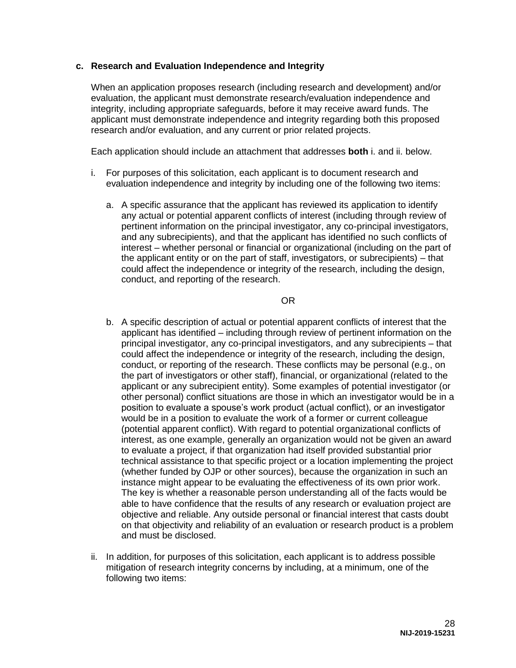#### **c. Research and Evaluation Independence and Integrity**

When an application proposes research (including research and development) and/or evaluation, the applicant must demonstrate research/evaluation independence and integrity, including appropriate safeguards, before it may receive award funds. The applicant must demonstrate independence and integrity regarding both this proposed research and/or evaluation, and any current or prior related projects.

Each application should include an attachment that addresses **both** i. and ii. below.

- i. For purposes of this solicitation, each applicant is to document research and evaluation independence and integrity by including one of the following two items:
	- a. A specific assurance that the applicant has reviewed its application to identify any actual or potential apparent conflicts of interest (including through review of pertinent information on the principal investigator, any co-principal investigators, and any subrecipients), and that the applicant has identified no such conflicts of interest – whether personal or financial or organizational (including on the part of the applicant entity or on the part of staff, investigators, or subrecipients) – that could affect the independence or integrity of the research, including the design, conduct, and reporting of the research.

OR

- b. A specific description of actual or potential apparent conflicts of interest that the applicant has identified – including through review of pertinent information on the principal investigator, any co-principal investigators, and any subrecipients – that could affect the independence or integrity of the research, including the design, conduct, or reporting of the research. These conflicts may be personal (e.g., on the part of investigators or other staff), financial, or organizational (related to the applicant or any subrecipient entity). Some examples of potential investigator (or other personal) conflict situations are those in which an investigator would be in a position to evaluate a spouse's work product (actual conflict), or an investigator would be in a position to evaluate the work of a former or current colleague (potential apparent conflict). With regard to potential organizational conflicts of interest, as one example, generally an organization would not be given an award to evaluate a project, if that organization had itself provided substantial prior technical assistance to that specific project or a location implementing the project (whether funded by OJP or other sources), because the organization in such an instance might appear to be evaluating the effectiveness of its own prior work. The key is whether a reasonable person understanding all of the facts would be able to have confidence that the results of any research or evaluation project are objective and reliable. Any outside personal or financial interest that casts doubt on that objectivity and reliability of an evaluation or research product is a problem and must be disclosed.
- ii. In addition, for purposes of this solicitation, each applicant is to address possible mitigation of research integrity concerns by including, at a minimum, one of the following two items: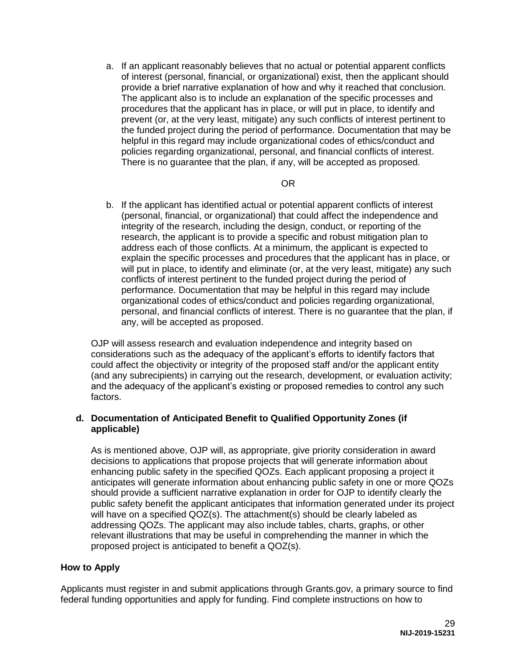a. If an applicant reasonably believes that no actual or potential apparent conflicts of interest (personal, financial, or organizational) exist, then the applicant should provide a brief narrative explanation of how and why it reached that conclusion. The applicant also is to include an explanation of the specific processes and procedures that the applicant has in place, or will put in place, to identify and prevent (or, at the very least, mitigate) any such conflicts of interest pertinent to the funded project during the period of performance. Documentation that may be helpful in this regard may include organizational codes of ethics/conduct and policies regarding organizational, personal, and financial conflicts of interest. There is no guarantee that the plan, if any, will be accepted as proposed.

#### OR

b. If the applicant has identified actual or potential apparent conflicts of interest (personal, financial, or organizational) that could affect the independence and integrity of the research, including the design, conduct, or reporting of the research, the applicant is to provide a specific and robust mitigation plan to address each of those conflicts. At a minimum, the applicant is expected to explain the specific processes and procedures that the applicant has in place, or will put in place, to identify and eliminate (or, at the very least, mitigate) any such conflicts of interest pertinent to the funded project during the period of performance. Documentation that may be helpful in this regard may include organizational codes of ethics/conduct and policies regarding organizational, personal, and financial conflicts of interest. There is no guarantee that the plan, if any, will be accepted as proposed.

OJP will assess research and evaluation independence and integrity based on considerations such as the adequacy of the applicant's efforts to identify factors that could affect the objectivity or integrity of the proposed staff and/or the applicant entity (and any subrecipients) in carrying out the research, development, or evaluation activity; and the adequacy of the applicant's existing or proposed remedies to control any such factors.

#### **d. Documentation of Anticipated Benefit to Qualified Opportunity Zones (if applicable)**

As is mentioned above, OJP will, as appropriate, give priority consideration in award decisions to applications that propose projects that will generate information about enhancing public safety in the specified QOZs. Each applicant proposing a project it anticipates will generate information about enhancing public safety in one or more QOZs should provide a sufficient narrative explanation in order for OJP to identify clearly the public safety benefit the applicant anticipates that information generated under its project will have on a specified QOZ(s). The attachment(s) should be clearly labeled as addressing QOZs. The applicant may also include tables, charts, graphs, or other relevant illustrations that may be useful in comprehending the manner in which the proposed project is anticipated to benefit a QOZ(s).

#### <span id="page-28-0"></span>**How to Apply**

Applicants must register in and submit applications through Grants.gov, a primary source to find federal funding opportunities and apply for funding. Find complete instructions on how to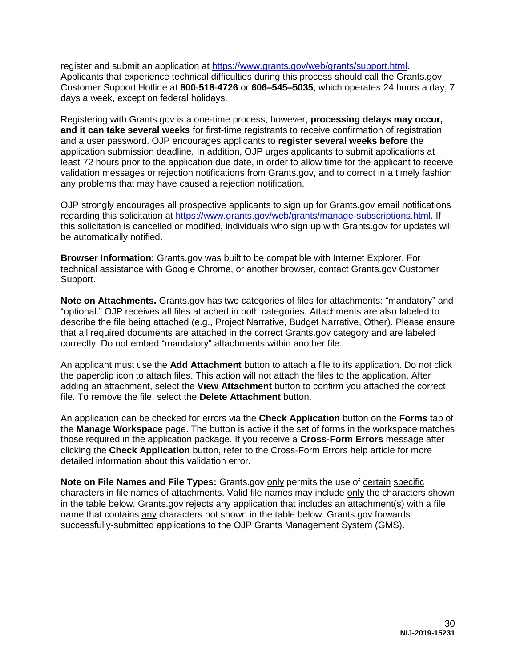register and submit an application at [https://www.grants.gov/web/grants/support.html.](https://www.grants.gov/web/grants/support.html) Applicants that experience technical difficulties during this process should call the Grants.gov Customer Support Hotline at **800**-**518**-**4726** or **606–545–5035**, which operates 24 hours a day, 7 days a week, except on federal holidays.

Registering with Grants.gov is a one-time process; however, **processing delays may occur, and it can take several weeks** for first-time registrants to receive confirmation of registration and a user password. OJP encourages applicants to **register several weeks before** the application submission deadline. In addition, OJP urges applicants to submit applications at least 72 hours prior to the application due date, in order to allow time for the applicant to receive validation messages or rejection notifications from Grants.gov, and to correct in a timely fashion any problems that may have caused a rejection notification.

OJP strongly encourages all prospective applicants to sign up for Grants.gov email notifications regarding this solicitation at [https://www.grants.gov/web/grants/manage-subscriptions.html.](https://www.grants.gov/web/grants/manage-subscriptions.html) If this solicitation is cancelled or modified, individuals who sign up with Grants.gov for updates will be automatically notified.

**Browser Information:** Grants.gov was built to be compatible with Internet Explorer. For technical assistance with Google Chrome, or another browser, contact Grants.gov Customer Support.

**Note on Attachments.** Grants.gov has two categories of files for attachments: "mandatory" and "optional." OJP receives all files attached in both categories. Attachments are also labeled to describe the file being attached (e.g., Project Narrative, Budget Narrative, Other). Please ensure that all required documents are attached in the correct Grants.gov category and are labeled correctly. Do not embed "mandatory" attachments within another file.

An applicant must use the **Add Attachment** button to attach a file to its application. Do not click the paperclip icon to attach files. This action will not attach the files to the application. After adding an attachment, select the **View Attachment** button to confirm you attached the correct file. To remove the file, select the **Delete Attachment** button.

An application can be checked for errors via the **Check Application** button on the **Forms** tab of the **Manage Workspace** page. The button is active if the set of forms in the workspace matches those required in the application package. If you receive a **Cross-Form Errors** message after clicking the **Check Application** button, refer to the Cross-Form Errors help article for more detailed information about this validation error.

**Note on File Names and File Types:** Grants.gov only permits the use of certain specific characters in file names of attachments. Valid file names may include only the characters shown in the table below. Grants.gov rejects any application that includes an attachment(s) with a file name that contains any characters not shown in the table below. Grants.gov forwards successfully-submitted applications to the OJP Grants Management System (GMS).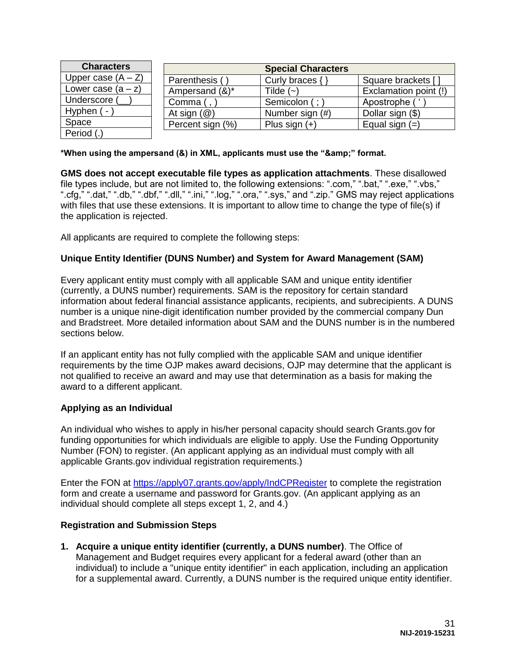| <b>Characters</b>    | <b>Special Characters</b> |                     |                       |
|----------------------|---------------------------|---------------------|-----------------------|
| Upper case $(A - Z)$ | Parenthesis (             | Curly braces $\{\}$ | Square brackets [     |
| Lower case $(a - z)$ | Ampersand (&)*            | Tilde $(-)$         | Exclamation point (!) |
| Underscore (         | Comma (, `                | Semicolon (;        | Apostrophe (          |
| Hyphen ( -           | At sign $(\mathcal{Q})$   | Number sign (#)     | Dollar sign (\$)      |
| Space                | Percent sign (%)          | Plus sign $(+)$     | Equal sign $(=)$      |
| Period (.)           |                           |                     |                       |

\*When using the ampersand (&) in XML, applicants must use the "&" format.

**GMS does not accept executable file types as application attachments**. These disallowed file types include, but are not limited to, the following extensions: ".com," ".bat," ".exe," ".vbs," ".cfg," ".dat," ".db," ".dbf," ".dll," ".ini," ".log," ".ora," ".sys," and ".zip." GMS may reject applications with files that use these extensions. It is important to allow time to change the type of file(s) if the application is rejected.

All applicants are required to complete the following steps:

#### **Unique Entity Identifier (DUNS Number) and System for Award Management (SAM)**

Every applicant entity must comply with all applicable SAM and unique entity identifier (currently, a DUNS number) requirements. SAM is the repository for certain standard information about federal financial assistance applicants, recipients, and subrecipients. A DUNS number is a unique nine-digit identification number provided by the commercial company Dun and Bradstreet. More detailed information about SAM and the DUNS number is in the numbered sections below.

If an applicant entity has not fully complied with the applicable SAM and unique identifier requirements by the time OJP makes award decisions, OJP may determine that the applicant is not qualified to receive an award and may use that determination as a basis for making the award to a different applicant.

#### **Applying as an Individual**

An individual who wishes to apply in his/her personal capacity should search Grants.gov for funding opportunities for which individuals are eligible to apply. Use the Funding Opportunity Number (FON) to register. (An applicant applying as an individual must comply with all applicable Grants.gov individual registration requirements.)

Enter the FON at<https://apply07.grants.gov/apply/IndCPRegister>to complete the registration form and create a username and password for Grants.gov. (An applicant applying as an individual should complete all steps except 1, 2, and 4.)

#### **Registration and Submission Steps**

**1. Acquire a unique entity identifier (currently, a DUNS number)**. The Office of Management and Budget requires every applicant for a federal award (other than an individual) to include a "unique entity identifier" in each application, including an application for a supplemental award. Currently, a DUNS number is the required unique entity identifier.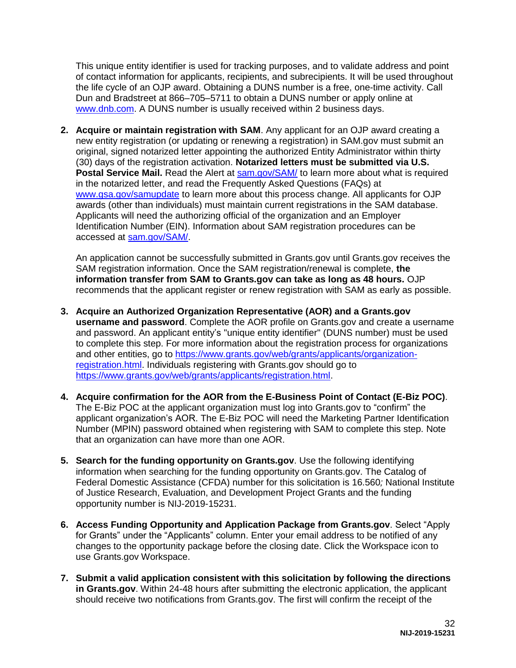This unique entity identifier is used for tracking purposes, and to validate address and point of contact information for applicants, recipients, and subrecipients. It will be used throughout the life cycle of an OJP award. Obtaining a DUNS number is a free, one-time activity. Call Dun and Bradstreet at 866–705–5711 to obtain a DUNS number or apply online at [www.dnb.com.](https://www.dnb.com/) A DUNS number is usually received within 2 business days.

**2. Acquire or maintain registration with SAM**. Any applicant for an OJP award creating a new entity registration (or updating or renewing a registration) in SAM.gov must submit an original, signed notarized letter appointing the authorized Entity Administrator within thirty (30) days of the registration activation. **Notarized letters must be submitted via U.S.**  Postal Service Mail. Read the Alert at [sam.gov/SAM/](https://sam.gov/SAM/) to learn more about what is required in the notarized letter, and read the Frequently Asked Questions (FAQs) at [www.gsa.gov/samupdate](https://www.gsa.gov/samupdate) to learn more about this process change. All applicants for OJP awards (other than individuals) must maintain current registrations in the SAM database. Applicants will need the authorizing official of the organization and an Employer Identification Number (EIN). Information about SAM registration procedures can be accessed at [sam.gov/SAM/.](https://sam.gov/SAM/)

An application cannot be successfully submitted in Grants.gov until Grants.gov receives the SAM registration information. Once the SAM registration/renewal is complete, **the information transfer from SAM to Grants.gov can take as long as 48 hours.** OJP recommends that the applicant register or renew registration with SAM as early as possible.

- **3. Acquire an Authorized Organization Representative (AOR) and a Grants.gov username and password**. Complete the AOR profile on Grants.gov and create a username and password. An applicant entity's "unique entity identifier" (DUNS number) must be used to complete this step. For more information about the registration process for organizations and other entities, go to [https://www.grants.gov/web/grants/applicants/organization](https://www.grants.gov/web/grants/applicants/organization-registration.html)[registration.html.](https://www.grants.gov/web/grants/applicants/organization-registration.html) Individuals registering with Grants.gov should go to [https://www.grants.gov/web/grants/applicants/registration.html.](https://www.grants.gov/web/grants/applicants/registration.html)
- **4. Acquire confirmation for the AOR from the E-Business Point of Contact (E-Biz POC)**. The E-Biz POC at the applicant organization must log into Grants.gov to "confirm" the applicant organization's AOR. The E-Biz POC will need the Marketing Partner Identification Number (MPIN) password obtained when registering with SAM to complete this step. Note that an organization can have more than one AOR.
- **5. Search for the funding opportunity on Grants.gov**. Use the following identifying information when searching for the funding opportunity on Grants.gov. The Catalog of Federal Domestic Assistance (CFDA) number for this solicitation is 16.560*;* National Institute of Justice Research, Evaluation, and Development Project Grants and the funding opportunity number is NIJ-2019-15231.
- **6. Access Funding Opportunity and Application Package from Grants.gov**. Select "Apply for Grants" under the "Applicants" column. Enter your email address to be notified of any changes to the opportunity package before the closing date. Click the Workspace icon to use Grants.gov Workspace.
- **7. Submit a valid application consistent with this solicitation by following the directions**  in Grants.gov. Within 24-48 hours after submitting the electronic application, the applicant should receive two notifications from Grants.gov. The first will confirm the receipt of the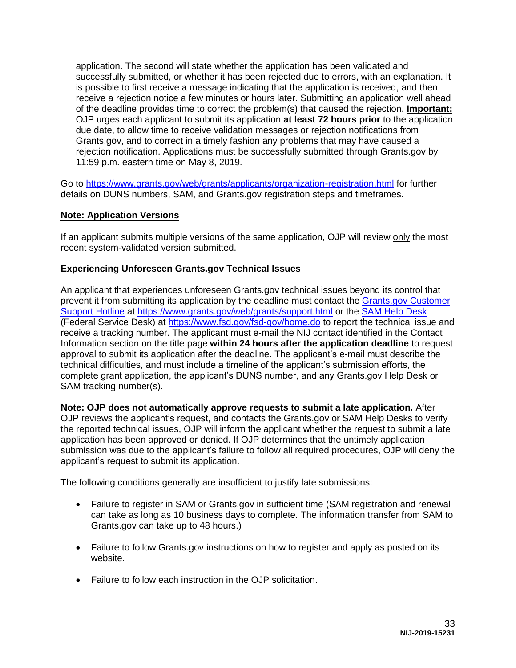application. The second will state whether the application has been validated and successfully submitted, or whether it has been rejected due to errors, with an explanation. It is possible to first receive a message indicating that the application is received, and then receive a rejection notice a few minutes or hours later. Submitting an application well ahead of the deadline provides time to correct the problem(s) that caused the rejection. **Important:**  OJP urges each applicant to submit its application **at least 72 hours prior** to the application due date, to allow time to receive validation messages or rejection notifications from Grants.gov, and to correct in a timely fashion any problems that may have caused a rejection notification. Applications must be successfully submitted through Grants.gov by 11:59 p.m. eastern time on May 8, 2019.

Go to<https://www.grants.gov/web/grants/applicants/organization-registration.html>for further details on DUNS numbers, SAM, and Grants.gov registration steps and timeframes.

### **Note: Application Versions**

If an applicant submits multiple versions of the same application, OJP will review only the most recent system-validated version submitted.

### **Experiencing Unforeseen Grants.gov Technical Issues**

An applicant that experiences unforeseen Grants.gov technical issues beyond its control that prevent it from submitting its application by the deadline must contact the [Grants.gov Customer](mailto:support@grants.gov)  [Support Hotline](mailto:support@grants.gov) at [https://www.grants.gov/web/grants/support.html](https://www.grants.gov/web/grants/support.htmlo) or the [SAM Help Desk](https://www.fsd.gov/) (Federal Service Desk) at<https://www.fsd.gov/fsd-gov/home.do>to report the technical issue and receive a tracking number. The applicant must e-mail the NIJ contact identified in the Contact Information section on the title page **within 24 hours after the application deadline** to request approval to submit its application after the deadline. The applicant's e-mail must describe the technical difficulties, and must include a timeline of the applicant's submission efforts, the complete grant application, the applicant's DUNS number, and any Grants.gov Help Desk or SAM tracking number(s).

**Note: OJP does not automatically approve requests to submit a late application***.* After OJP reviews the applicant's request, and contacts the Grants.gov or SAM Help Desks to verify the reported technical issues, OJP will inform the applicant whether the request to submit a late application has been approved or denied. If OJP determines that the untimely application submission was due to the applicant's failure to follow all required procedures, OJP will deny the applicant's request to submit its application.

The following conditions generally are insufficient to justify late submissions:

- Failure to register in SAM or Grants.gov in sufficient time (SAM registration and renewal can take as long as 10 business days to complete. The information transfer from SAM to Grants.gov can take up to 48 hours.)
- Failure to follow Grants.gov instructions on how to register and apply as posted on its website.
- Failure to follow each instruction in the OJP solicitation.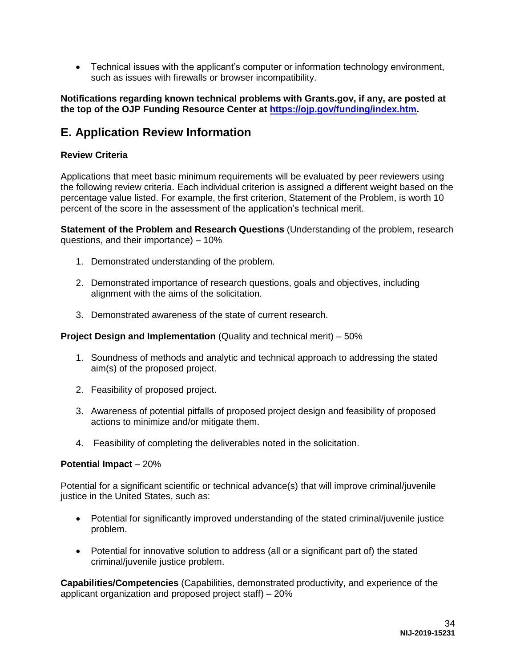Technical issues with the applicant's computer or information technology environment, such as issues with firewalls or browser incompatibility.

**Notifications regarding known technical problems with Grants.gov, if any, are posted at the top of the OJP Funding Resource Center at [https://ojp.gov/funding/index.htm.](https://ojp.gov/funding/index.htm)**

# <span id="page-33-0"></span>**E. Application Review Information**

#### <span id="page-33-1"></span>**Review Criteria**

Applications that meet basic minimum requirements will be evaluated by peer reviewers using the following review criteria. Each individual criterion is assigned a different weight based on the percentage value listed. For example, the first criterion, Statement of the Problem, is worth 10 percent of the score in the assessment of the application's technical merit.

**Statement of the Problem and Research Questions** (Understanding of the problem, research questions, and their importance) – 10%

- 1. Demonstrated understanding of the problem.
- 2. Demonstrated importance of research questions, goals and objectives, including alignment with the aims of the solicitation.
- 3. Demonstrated awareness of the state of current research.

#### **Project Design and Implementation** (Quality and technical merit) – 50%

- 1. Soundness of methods and analytic and technical approach to addressing the stated aim(s) of the proposed project.
- 2. Feasibility of proposed project.
- 3. Awareness of potential pitfalls of proposed project design and feasibility of proposed actions to minimize and/or mitigate them.
- 4. Feasibility of completing the deliverables noted in the solicitation.

#### **Potential Impact** – 20%

Potential for a significant scientific or technical advance(s) that will improve criminal/juvenile justice in the United States, such as:

- Potential for significantly improved understanding of the stated criminal/juvenile justice problem.
- Potential for innovative solution to address (all or a significant part of) the stated criminal/juvenile justice problem.

**Capabilities/Competencies** (Capabilities, demonstrated productivity, and experience of the applicant organization and proposed project staff) – 20%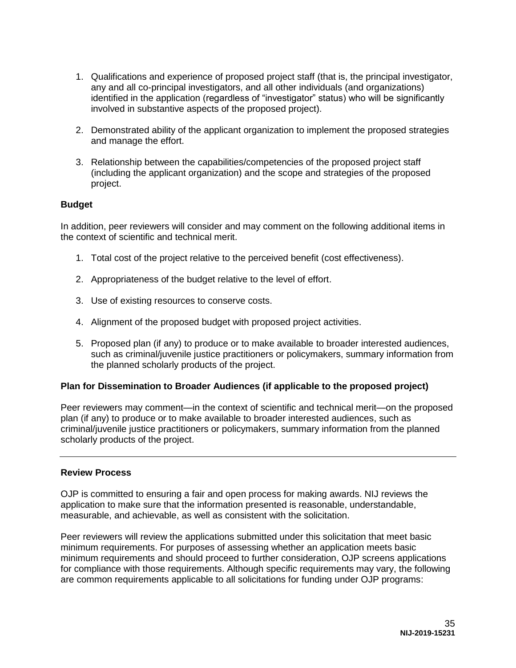- 1. Qualifications and experience of proposed project staff (that is, the principal investigator, any and all co-principal investigators, and all other individuals (and organizations) identified in the application (regardless of "investigator" status) who will be significantly involved in substantive aspects of the proposed project).
- 2. Demonstrated ability of the applicant organization to implement the proposed strategies and manage the effort.
- 3. Relationship between the capabilities/competencies of the proposed project staff (including the applicant organization) and the scope and strategies of the proposed project.

#### **Budget**

In addition, peer reviewers will consider and may comment on the following additional items in the context of scientific and technical merit.

- 1. Total cost of the project relative to the perceived benefit (cost effectiveness).
- 2. Appropriateness of the budget relative to the level of effort.
- 3. Use of existing resources to conserve costs.
- 4. Alignment of the proposed budget with proposed project activities.
- 5. Proposed plan (if any) to produce or to make available to broader interested audiences, such as criminal/juvenile justice practitioners or policymakers, summary information from the planned scholarly products of the project.

# **Plan for Dissemination to Broader Audiences (if applicable to the proposed project)**

Peer reviewers may comment—in the context of scientific and technical merit—on the proposed plan (if any) to produce or to make available to broader interested audiences, such as criminal/juvenile justice practitioners or policymakers, summary information from the planned scholarly products of the project.

#### <span id="page-34-0"></span>**Review Process**

OJP is committed to ensuring a fair and open process for making awards. NIJ reviews the application to make sure that the information presented is reasonable, understandable, measurable, and achievable, as well as consistent with the solicitation.

Peer reviewers will review the applications submitted under this solicitation that meet basic minimum requirements. For purposes of assessing whether an application meets basic minimum requirements and should proceed to further consideration, OJP screens applications for compliance with those requirements. Although specific requirements may vary, the following are common requirements applicable to all solicitations for funding under OJP programs: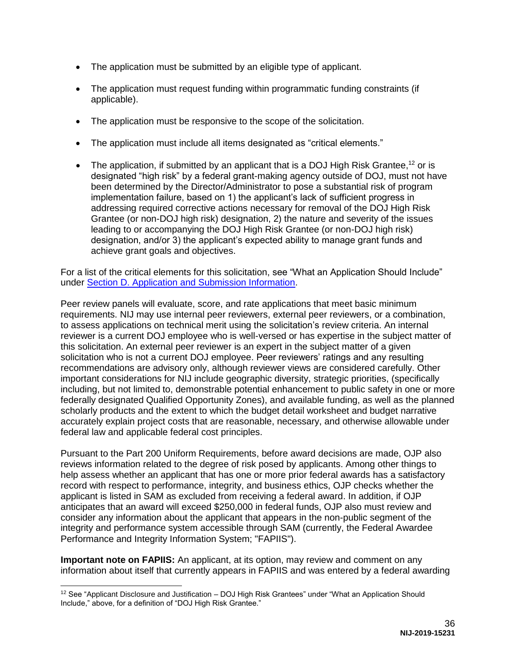- The application must be submitted by an eligible type of applicant.
- The application must request funding within programmatic funding constraints (if applicable).
- The application must be responsive to the scope of the solicitation.
- The application must include all items designated as "critical elements."
- The application, if submitted by an applicant that is a DOJ High Risk Grantee,<sup>12</sup> or is designated "high risk" by a federal grant-making agency outside of DOJ, must not have been determined by the Director/Administrator to pose a substantial risk of program implementation failure, based on 1) the applicant's lack of sufficient progress in addressing required corrective actions necessary for removal of the DOJ High Risk Grantee (or non-DOJ high risk) designation, 2) the nature and severity of the issues leading to or accompanying the DOJ High Risk Grantee (or non-DOJ high risk) designation, and/or 3) the applicant's expected ability to manage grant funds and achieve grant goals and objectives.

For a list of the critical elements for this solicitation, see "What an Application Should Include" under [Section D. Application and Submission Information.](#page-14-0)

Peer review panels will evaluate, score, and rate applications that meet basic minimum requirements. NIJ may use internal peer reviewers, external peer reviewers, or a combination, to assess applications on technical merit using the solicitation's review criteria. An internal reviewer is a current DOJ employee who is well-versed or has expertise in the subject matter of this solicitation. An external peer reviewer is an expert in the subject matter of a given solicitation who is not a current DOJ employee. Peer reviewers' ratings and any resulting recommendations are advisory only, although reviewer views are considered carefully. Other important considerations for NIJ include geographic diversity, strategic priorities, (specifically including, but not limited to, demonstrable potential enhancement to public safety in one or more federally designated Qualified Opportunity Zones), and available funding, as well as the planned scholarly products and the extent to which the budget detail worksheet and budget narrative accurately explain project costs that are reasonable, necessary, and otherwise allowable under federal law and applicable federal cost principles.

Pursuant to the Part 200 Uniform Requirements, before award decisions are made, OJP also reviews information related to the degree of risk posed by applicants. Among other things to help assess whether an applicant that has one or more prior federal awards has a satisfactory record with respect to performance, integrity, and business ethics, OJP checks whether the applicant is listed in SAM as excluded from receiving a federal award. In addition, if OJP anticipates that an award will exceed \$250,000 in federal funds, OJP also must review and consider any information about the applicant that appears in the non-public segment of the integrity and performance system accessible through SAM (currently, the Federal Awardee Performance and Integrity Information System; "FAPIIS").

**Important note on FAPIIS:** An applicant, at its option, may review and comment on any information about itself that currently appears in FAPIIS and was entered by a federal awarding

 $\overline{a}$ 

 $12$  See "Applicant Disclosure and Justification – DOJ High Risk Grantees" under "What an Application Should Include," above, for a definition of "DOJ High Risk Grantee."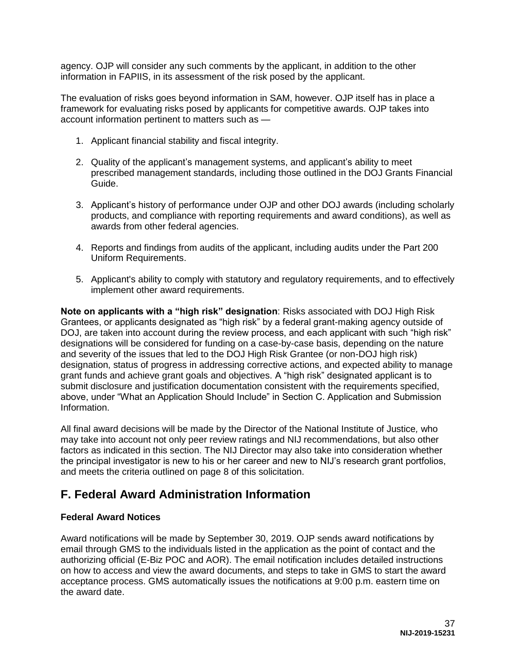agency. OJP will consider any such comments by the applicant, in addition to the other information in FAPIIS, in its assessment of the risk posed by the applicant.

The evaluation of risks goes beyond information in SAM, however. OJP itself has in place a framework for evaluating risks posed by applicants for competitive awards. OJP takes into account information pertinent to matters such as —

- 1. Applicant financial stability and fiscal integrity.
- 2. Quality of the applicant's management systems, and applicant's ability to meet prescribed management standards, including those outlined in the DOJ Grants Financial Guide.
- 3. Applicant's history of performance under OJP and other DOJ awards (including scholarly products, and compliance with reporting requirements and award conditions), as well as awards from other federal agencies.
- 4. Reports and findings from audits of the applicant, including audits under the Part 200 Uniform Requirements.
- 5. Applicant's ability to comply with statutory and regulatory requirements, and to effectively implement other award requirements.

**Note on applicants with a "high risk" designation**: Risks associated with DOJ High Risk Grantees, or applicants designated as "high risk" by a federal grant-making agency outside of DOJ, are taken into account during the review process, and each applicant with such "high risk" designations will be considered for funding on a case-by-case basis, depending on the nature and severity of the issues that led to the DOJ High Risk Grantee (or non-DOJ high risk) designation, status of progress in addressing corrective actions, and expected ability to manage grant funds and achieve grant goals and objectives. A "high risk" designated applicant is to submit disclosure and justification documentation consistent with the requirements specified, above, under "What an Application Should Include" in Section C. Application and Submission Information.

All final award decisions will be made by the Director of the National Institute of Justice*,* who may take into account not only peer review ratings and NIJ recommendations, but also other factors as indicated in this section. The NIJ Director may also take into consideration whether the principal investigator is new to his or her career and new to NIJ's research grant portfolios, and meets the criteria outlined on page 8 of this solicitation.

# <span id="page-36-0"></span>**F. Federal Award Administration Information**

#### <span id="page-36-1"></span>**Federal Award Notices**

Award notifications will be made by September 30, 2019. OJP sends award notifications by email through GMS to the individuals listed in the application as the point of contact and the authorizing official (E-Biz POC and AOR). The email notification includes detailed instructions on how to access and view the award documents, and steps to take in GMS to start the award acceptance process. GMS automatically issues the notifications at 9:00 p.m. eastern time on the award date.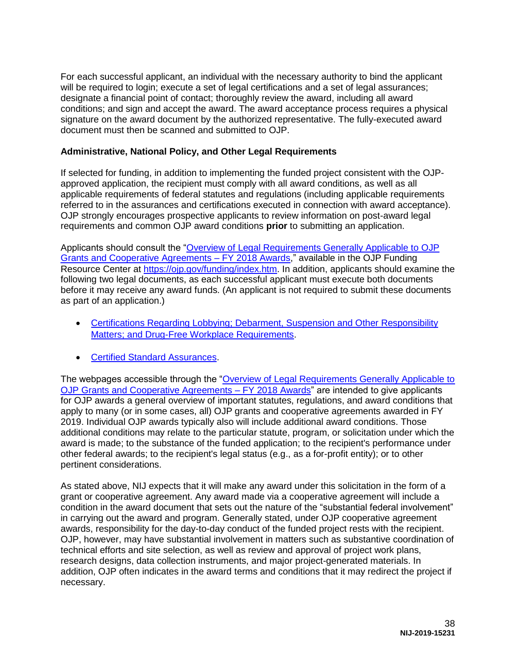For each successful applicant, an individual with the necessary authority to bind the applicant will be required to login; execute a set of legal certifications and a set of legal assurances; designate a financial point of contact; thoroughly review the award, including all award conditions; and sign and accept the award. The award acceptance process requires a physical signature on the award document by the authorized representative. The fully-executed award document must then be scanned and submitted to OJP.

## <span id="page-37-0"></span>**Administrative, National Policy, and Other Legal Requirements**

If selected for funding, in addition to implementing the funded project consistent with the OJPapproved application, the recipient must comply with all award conditions, as well as all applicable requirements of federal statutes and regulations (including applicable requirements referred to in the assurances and certifications executed in connection with award acceptance). OJP strongly encourages prospective applicants to review information on post-award legal requirements and common OJP award conditions **prior** to submitting an application.

Applicants should consult the ["Overview of Legal Requirements Generally Applicable to OJP](https://ojp.gov/funding/Explore/LegalOverview/index.htm)  [Grants and Cooperative Agreements – FY 2018 Awards,](https://ojp.gov/funding/Explore/LegalOverview/index.htm)" available in the OJP Funding Resource Center at [https://ojp.gov/funding/index.htm.](https://ojp.gov/funding/index.htm) In addition, applicants should examine the following two legal documents, as each successful applicant must execute both documents before it may receive any award funds. (An applicant is not required to submit these documents as part of an application.)

- Certifications Regarding Lobbying; Debarment, Suspension and Other Responsibility [Matters; and Drug-Free Workplace Requirements.](https://ojp.gov/funding/Apply/Resources/Certifications.pdf)
- **[Certified Standard Assurances.](https://ojp.gov/funding/Apply/Resources/StandardAssurances.pdf)**

The webpages accessible through the "Overview of Legal Requirements Generally Applicable to [OJP Grants and Cooperative Agreements – FY 2018 Awards"](https://ojp.gov/funding/Explore/LegalOverview/index.htm) are intended to give applicants for OJP awards a general overview of important statutes, regulations, and award conditions that apply to many (or in some cases, all) OJP grants and cooperative agreements awarded in FY 2019. Individual OJP awards typically also will include additional award conditions. Those additional conditions may relate to the particular statute, program, or solicitation under which the award is made; to the substance of the funded application; to the recipient's performance under other federal awards; to the recipient's legal status (e.g., as a for-profit entity); or to other pertinent considerations.

As stated above, NIJ expects that it will make any award under this solicitation in the form of a grant or cooperative agreement. Any award made via a cooperative agreement will include a condition in the award document that sets out the nature of the "substantial federal involvement" in carrying out the award and program. Generally stated, under OJP cooperative agreement awards, responsibility for the day-to-day conduct of the funded project rests with the recipient. OJP, however, may have substantial involvement in matters such as substantive coordination of technical efforts and site selection, as well as review and approval of project work plans, research designs, data collection instruments, and major project-generated materials. In addition, OJP often indicates in the award terms and conditions that it may redirect the project if necessary.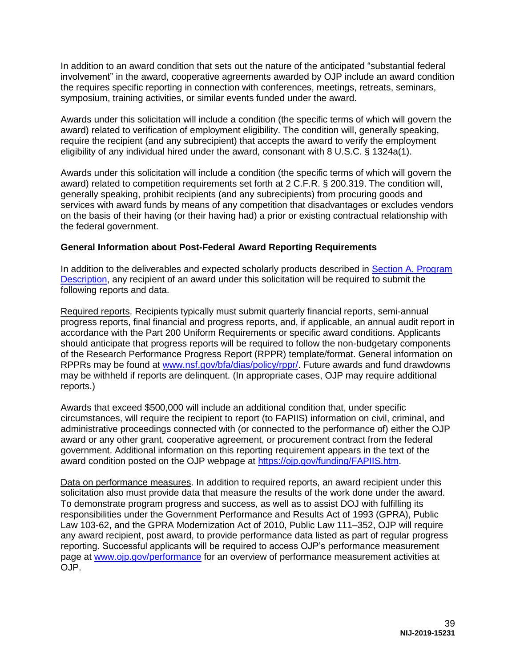In addition to an award condition that sets out the nature of the anticipated "substantial federal involvement" in the award, cooperative agreements awarded by OJP include an award condition the requires specific reporting in connection with conferences, meetings, retreats, seminars, symposium, training activities, or similar events funded under the award.

Awards under this solicitation will include a condition (the specific terms of which will govern the award) related to verification of employment eligibility. The condition will, generally speaking, require the recipient (and any subrecipient) that accepts the award to verify the employment eligibility of any individual hired under the award, consonant with 8 U.S.C. § 1324a(1).

Awards under this solicitation will include a condition (the specific terms of which will govern the award) related to competition requirements set forth at 2 C.F.R. § 200.319. The condition will, generally speaking, prohibit recipients (and any subrecipients) from procuring goods and services with award funds by means of any competition that disadvantages or excludes vendors on the basis of their having (or their having had) a prior or existing contractual relationship with the federal government.

### <span id="page-38-0"></span>**General Information about Post-Federal Award Reporting Requirements**

In addition to the deliverables and expected scholarly products described in [Section A. Program](#page-3-0)  [Description,](#page-3-0) any recipient of an award under this solicitation will be required to submit the following reports and data.

Required reports. Recipients typically must submit quarterly financial reports, semi-annual progress reports, final financial and progress reports, and, if applicable, an annual audit report in accordance with the Part 200 Uniform Requirements or specific award conditions. Applicants should anticipate that progress reports will be required to follow the non-budgetary components of the Research Performance Progress Report (RPPR) template/format. General information on RPPRs may be found at [www.nsf.gov/bfa/dias/policy/rppr/.](https://www.nsf.gov/bfa/dias/policy/rppr/) Future awards and fund drawdowns may be withheld if reports are delinquent. (In appropriate cases, OJP may require additional reports.)

Awards that exceed \$500,000 will include an additional condition that, under specific circumstances, will require the recipient to report (to FAPIIS) information on civil, criminal, and administrative proceedings connected with (or connected to the performance of) either the OJP award or any other grant, cooperative agreement, or procurement contract from the federal government. Additional information on this reporting requirement appears in the text of the award condition posted on the OJP webpage at [https://ojp.gov/funding/FAPIIS.htm.](https://ojp.gov/funding/FAPIIS.htm)

Data on performance measures. In addition to required reports, an award recipient under this solicitation also must provide data that measure the results of the work done under the award. To demonstrate program progress and success, as well as to assist DOJ with fulfilling its responsibilities under the Government Performance and Results Act of 1993 (GPRA), Public Law 103-62, and the GPRA Modernization Act of 2010, Public Law 111–352, OJP will require any award recipient, post award, to provide performance data listed as part of regular progress reporting. Successful applicants will be required to access OJP's performance measurement page at [www.ojp.gov/performance](https://www.ojp.gov/performance) for an overview of performance measurement activities at OJP.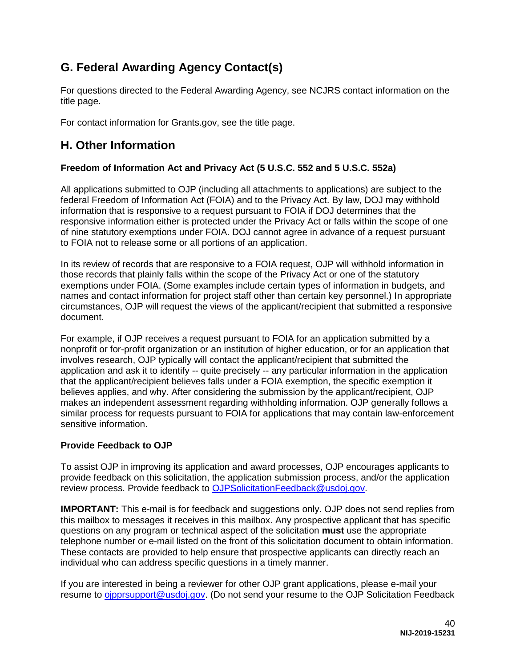# <span id="page-39-0"></span>**G. Federal Awarding Agency Contact(s)**

For questions directed to the Federal Awarding Agency, see NCJRS contact information on the title page.

For contact information for Grants.gov, see the title page.

# <span id="page-39-1"></span>**H. Other Information**

# <span id="page-39-2"></span>**Freedom of Information Act and Privacy Act (5 U.S.C. 552 and 5 U.S.C. 552a)**

All applications submitted to OJP (including all attachments to applications) are subject to the federal Freedom of Information Act (FOIA) and to the Privacy Act. By law, DOJ may withhold information that is responsive to a request pursuant to FOIA if DOJ determines that the responsive information either is protected under the Privacy Act or falls within the scope of one of nine statutory exemptions under FOIA. DOJ cannot agree in advance of a request pursuant to FOIA not to release some or all portions of an application.

In its review of records that are responsive to a FOIA request, OJP will withhold information in those records that plainly falls within the scope of the Privacy Act or one of the statutory exemptions under FOIA. (Some examples include certain types of information in budgets, and names and contact information for project staff other than certain key personnel.) In appropriate circumstances, OJP will request the views of the applicant/recipient that submitted a responsive document.

For example, if OJP receives a request pursuant to FOIA for an application submitted by a nonprofit or for-profit organization or an institution of higher education, or for an application that involves research, OJP typically will contact the applicant/recipient that submitted the application and ask it to identify -- quite precisely -- any particular information in the application that the applicant/recipient believes falls under a FOIA exemption, the specific exemption it believes applies, and why. After considering the submission by the applicant/recipient, OJP makes an independent assessment regarding withholding information. OJP generally follows a similar process for requests pursuant to FOIA for applications that may contain law-enforcement sensitive information.

# <span id="page-39-3"></span>**Provide Feedback to OJP**

To assist OJP in improving its application and award processes, OJP encourages applicants to provide feedback on this solicitation, the application submission process, and/or the application review process. Provide feedback to [OJPSolicitationFeedback@usdoj.gov.](mailto:OJPSolicitationFeedback@usdoj.gov)

**IMPORTANT:** This e-mail is for feedback and suggestions only. OJP does not send replies from this mailbox to messages it receives in this mailbox. Any prospective applicant that has specific questions on any program or technical aspect of the solicitation **must** use the appropriate telephone number or e-mail listed on the front of this solicitation document to obtain information. These contacts are provided to help ensure that prospective applicants can directly reach an individual who can address specific questions in a timely manner.

If you are interested in being a reviewer for other OJP grant applications, please e-mail your resume to [ojpprsupport@usdoj.gov.](mailto:ojpprsupport@usdoj.gov) (Do not send your resume to the OJP Solicitation Feedback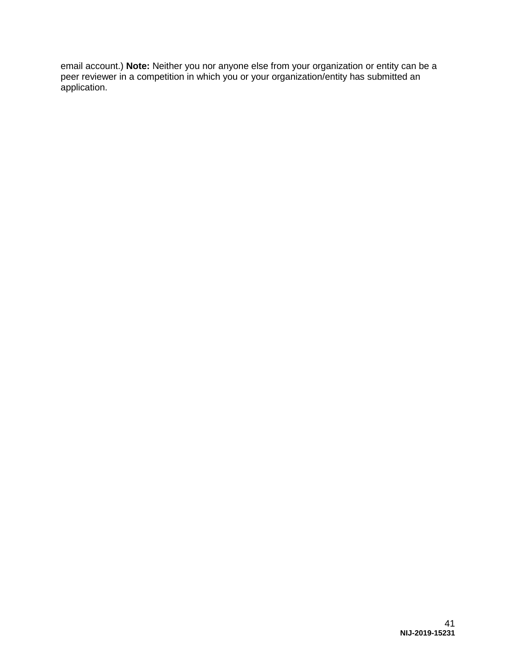email account.) **Note:** Neither you nor anyone else from your organization or entity can be a peer reviewer in a competition in which you or your organization/entity has submitted an application.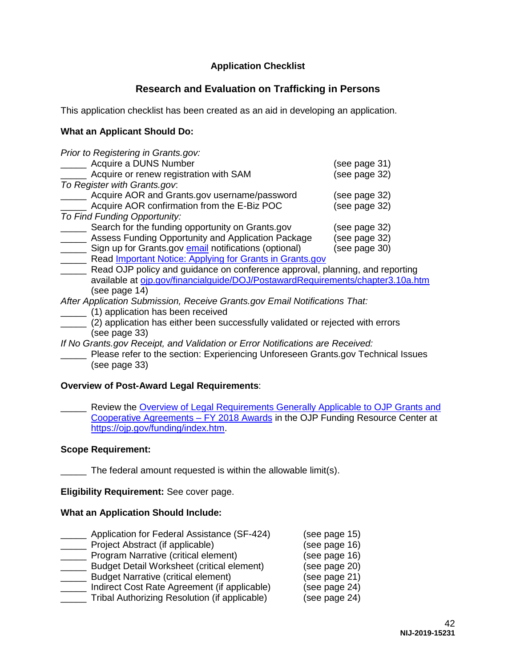# **Application Checklist**

# **Research and Evaluation on Trafficking in Persons**

<span id="page-41-0"></span>This application checklist has been created as an aid in developing an application.

# **What an Applicant Should Do:**

| Prior to Registering in Grants.gov:                                            |               |
|--------------------------------------------------------------------------------|---------------|
| Acquire a DUNS Number                                                          | (see page 31) |
| Acquire or renew registration with SAM                                         | (see page 32) |
| To Register with Grants.gov.                                                   |               |
| Acquire AOR and Grants.gov username/password                                   | (see page 32) |
| Acquire AOR confirmation from the E-Biz POC                                    | (see page 32) |
| To Find Funding Opportunity:                                                   |               |
| Search for the funding opportunity on Grants.gov                               | (see page 32) |
| Assess Funding Opportunity and Application Package                             | (see page 32) |
| Sign up for Grants.gov email notifications (optional)                          | (see page 30) |
| Read <b>Important Notice: Applying for Grants in Grants.gov</b>                |               |
| Read OJP policy and guidance on conference approval, planning, and reporting   |               |
| available at oin gov/financialquide/DO I/PostawardRequirements/chapter3 10a ht |               |

available at <u>ojp.gov/financialguide/DOJ/PostawardRequirements/chapter3.10a.htm</u> (see page 14)

*After Application Submission, Receive Grants.gov Email Notifications That:* 

- \_\_\_\_\_ (1) application has been received
- \_\_\_\_\_ (2) application has either been successfully validated or rejected with errors (see page 33)
- *If No Grants.gov Receipt, and Validation or Error Notifications are Received:*

Please refer to the section: Experiencing Unforeseen Grants.gov Technical Issues (see page 33)

# **Overview of Post-Award Legal Requirements**:

Review the Overview of Legal Requirements Generally Applicable to OJP Grants and [Cooperative Agreements – FY 2018 Awards](https://ojp.gov/funding/Explore/LegalOverview/index.htm) in the OJP Funding Resource Center at [https://ojp.gov/funding/index.htm.](https://ojp.gov/funding/index.htm)

# **Scope Requirement:**

The federal amount requested is within the allowable limit(s).

**Eligibility Requirement:** See cover page.

# **What an Application Should Include:**

| Application for Federal Assistance (SF-424)       | (see page 15) |
|---------------------------------------------------|---------------|
| Project Abstract (if applicable)                  | (see page 16) |
| Program Narrative (critical element)              | (see page 16) |
| <b>Budget Detail Worksheet (critical element)</b> | (see page 20) |
| <b>Budget Narrative (critical element)</b>        | (see page 21) |
| Indirect Cost Rate Agreement (if applicable)      | (see page 24) |
| Tribal Authorizing Resolution (if applicable)     | (see page 24) |